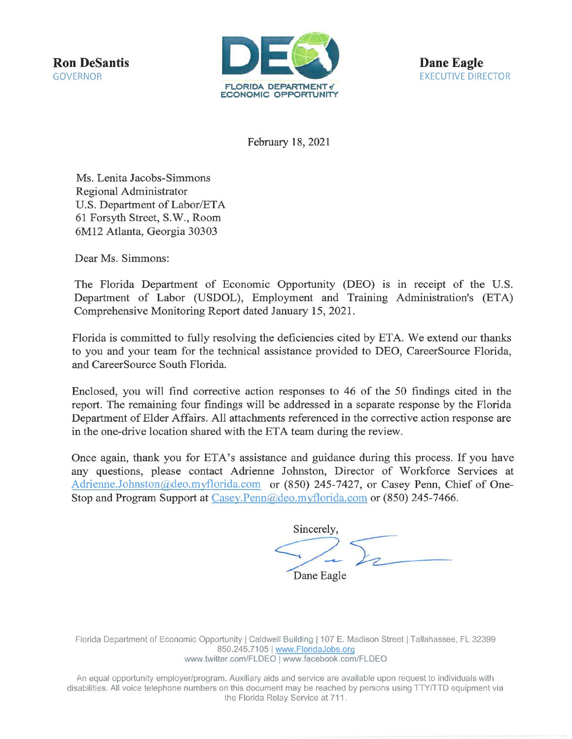**Ron DeSantis GOVERNOR** 



**Dane Eagle EXECUTIVE DIRECTOR** 

February 18, 2021

Ms. Lenita Jacobs-Simmons Regional Administrator U.S. Department of Labor/ETA 61 Forsyth Street, S.W., Room 6M12 Atlanta, Georgia 30303

Dear Ms. Simmons:

The Florida Department of Economic Opportunity (DEO) is in receipt of the U.S. Department of Labor (USDOL), Employment and Training Administration's (ETA) Comprehensive Monitoring Report dated January 15, 2021.

Florida is committed to fully resolving the deficiencies cited by ETA. We extend our thanks to you and your team for the technical assistance provided to DEO, CareerSource Florida, and CareerSource South Florida.

Enclosed, you will find corrective action responses to 46 of the 50 findings cited in the report. The remaining four findings will be addressed in a separate response by the Florida Department of Elder Affairs. All attachments referenced in the corrective action response are in the one-drive location shared with the ETA team during the review.

Once again, thank you for ETA's assistance and guidance during this process. If you have any questions, please contact Adrienne Johnston, Director of Workforce Services at Adrienne.Johnston@deo.myflorida.com or (850) 245-7427, or Casey Penn, Chief of One-Stop and Program Support at Casey.Penn@deo.myflorida.com or (850) 245-7466.

Sincerely Dane Eagle

Florida Department of Economic Opportunity | Caldwell Building | 107 E. Madison Street | Tallahassee, FL 32399 850.245.7105 | www.FloridaJobs.org www.twitter.com/FLDEO | www.facebook.com/FLDEO

An equal opportunity employer/program. Auxiliary aids and service are available upon request to individuals with disabilities. All voice telephone numbers on this document may be reached by persons using TTY/TTD equipment via the Florida Relay Service at 711.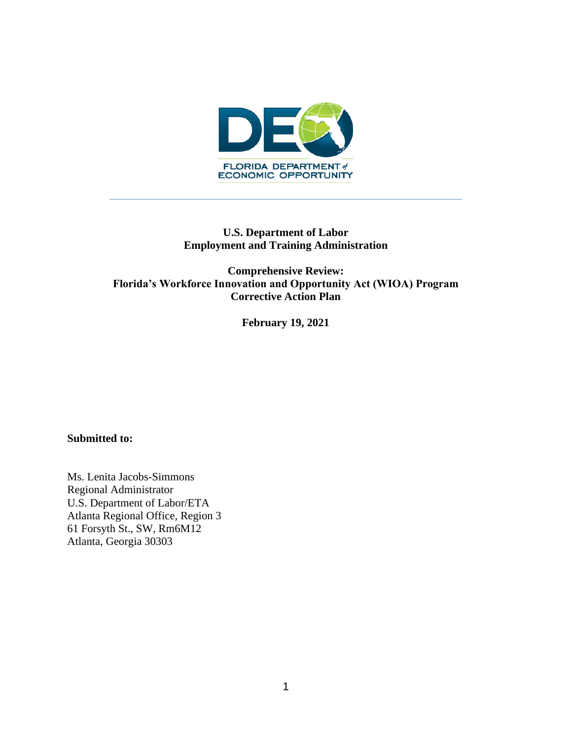

# **U.S. Department of Labor Employment and Training Administration**

**Comprehensive Review: Florida's Workforce Innovation and Opportunity Act (WIOA) Program Corrective Action Plan** 

**February 19, 2021**

### **Submitted to:**

Ms. Lenita Jacobs-Simmons Regional Administrator U.S. Department of Labor/ETA Atlanta Regional Office, Region 3 61 Forsyth St., SW, Rm6M12 Atlanta, Georgia 30303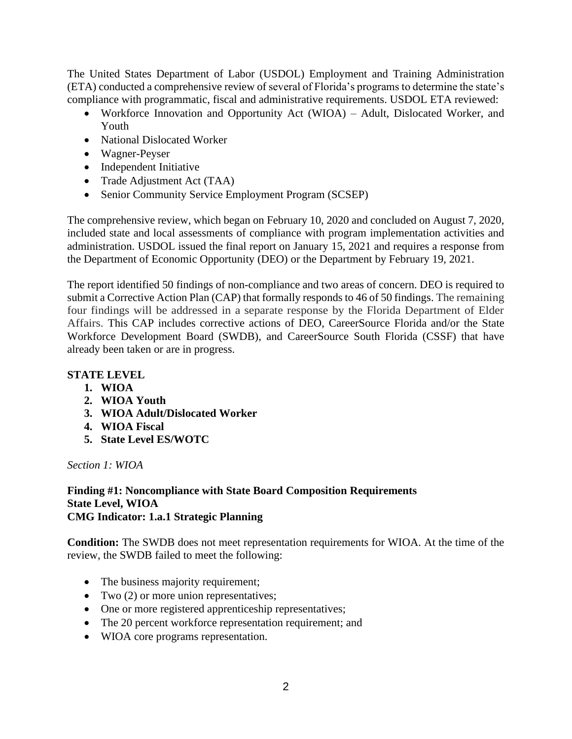The United States Department of Labor (USDOL) Employment and Training Administration (ETA) conducted a comprehensive review of several of Florida's programs to determine the state's compliance with programmatic, fiscal and administrative requirements. USDOL ETA reviewed:

- Workforce Innovation and Opportunity Act (WIOA) Adult, Dislocated Worker, and Youth
- National Dislocated Worker
- Wagner-Peyser
- Independent Initiative
- Trade Adjustment Act (TAA)
- Senior Community Service Employment Program (SCSEP)

The comprehensive review, which began on February 10, 2020 and concluded on August 7, 2020, included state and local assessments of compliance with program implementation activities and administration. USDOL issued the final report on January 15, 2021 and requires a response from the Department of Economic Opportunity (DEO) or the Department by February 19, 2021.

The report identified 50 findings of non-compliance and two areas of concern. DEO is required to submit a Corrective Action Plan (CAP) that formally responds to 46 of 50 findings. The remaining four findings will be addressed in a separate response by the Florida Department of Elder Affairs. This CAP includes corrective actions of DEO, CareerSource Florida and/or the State Workforce Development Board (SWDB), and CareerSource South Florida (CSSF) that have already been taken or are in progress.

# **STATE LEVEL**

- **1. WIOA**
- **2. WIOA Youth**
- **3. WIOA Adult/Dislocated Worker**
- **4. WIOA Fiscal**
- **5. State Level ES/WOTC**

*Section 1: WIOA*

#### **Finding #1: Noncompliance with State Board Composition Requirements State Level, WIOA CMG Indicator: 1.a.1 Strategic Planning**

**Condition:** The SWDB does not meet representation requirements for WIOA. At the time of the review, the SWDB failed to meet the following:

- The business majority requirement;
- Two (2) or more union representatives;
- One or more registered apprenticeship representatives;
- The 20 percent workforce representation requirement; and
- WIOA core programs representation.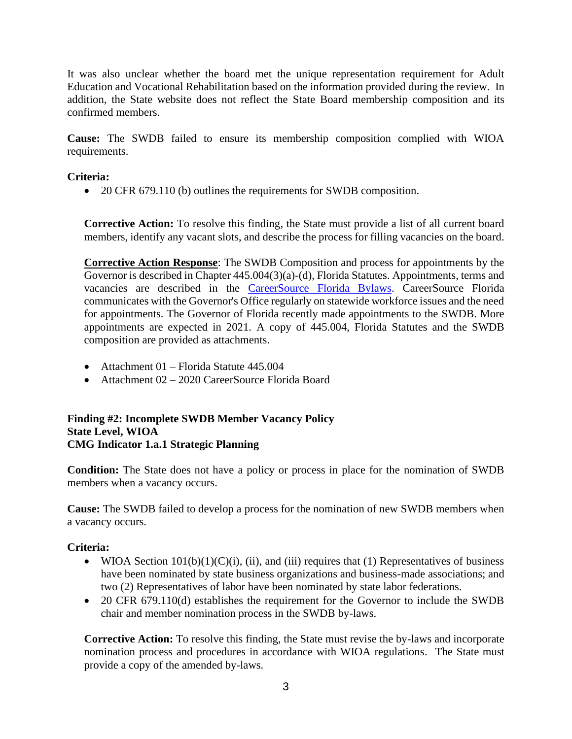It was also unclear whether the board met the unique representation requirement for Adult Education and Vocational Rehabilitation based on the information provided during the review. In addition, the State website does not reflect the State Board membership composition and its confirmed members.

**Cause:** The SWDB failed to ensure its membership composition complied with WIOA requirements.

# **Criteria:**

• 20 CFR 679.110 (b) outlines the requirements for SWDB composition.

**Corrective Action:** To resolve this finding, the State must provide a list of all current board members, identify any vacant slots, and describe the process for filling vacancies on the board.

**Corrective Action Response**: The SWDB Composition and process for appointments by the Governor is described in Chapter 445.004(3)(a)-(d), Florida Statutes. Appointments, terms and vacancies are described in the [CareerSource Florida Bylaws.](https://careersourceflorida.com/wp-content/uploads/2021/01/CareerSource_Florida_Bylaws.pdf) CareerSource Florida communicates with the Governor's Office regularly on statewide workforce issues and the need for appointments. The Governor of Florida recently made appointments to the SWDB. More appointments are expected in 2021. A copy of 445.004, Florida Statutes and the SWDB composition are provided as attachments.

- Attachment 01 Florida Statute 445.004
- Attachment 02 2020 CareerSource Florida Board

### **Finding #2: Incomplete SWDB Member Vacancy Policy State Level, WIOA CMG Indicator 1.a.1 Strategic Planning**

**Condition:** The State does not have a policy or process in place for the nomination of SWDB members when a vacancy occurs.

**Cause:** The SWDB failed to develop a process for the nomination of new SWDB members when a vacancy occurs.

# **Criteria:**

- WIOA Section  $101(b)(1)(C)(i)$ , (ii), and (iii) requires that (1) Representatives of business have been nominated by state business organizations and business-made associations; and two (2) Representatives of labor have been nominated by state labor federations.
- 20 CFR 679.110(d) establishes the requirement for the Governor to include the SWDB chair and member nomination process in the SWDB by-laws.

**Corrective Action:** To resolve this finding, the State must revise the by-laws and incorporate nomination process and procedures in accordance with WIOA regulations. The State must provide a copy of the amended by-laws.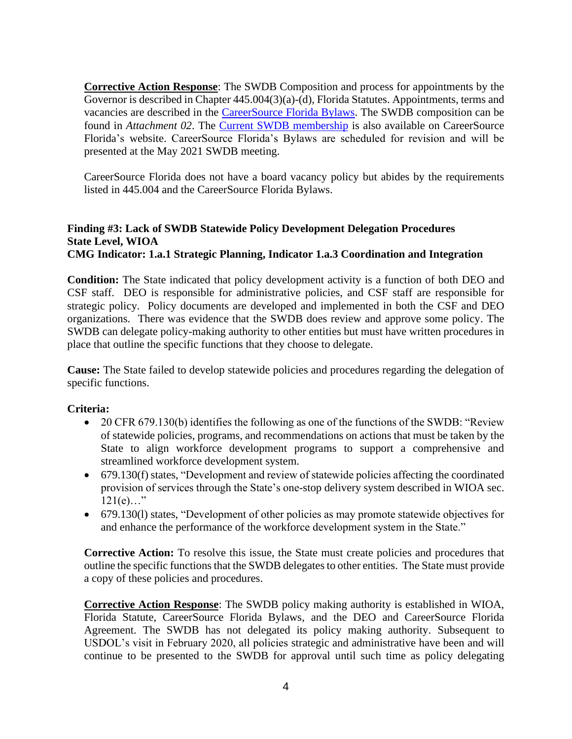**Corrective Action Response**: The SWDB Composition and process for appointments by the Governor is described in Chapter 445.004(3)(a)-(d), Florida Statutes. Appointments, terms and vacancies are described in the [CareerSource Florida Bylaws.](https://careersourceflorida.com/wp-content/uploads/2021/01/CareerSource_Florida_Bylaws.pdf) The SWDB composition can be found in *Attachment 02*. The [Current SWDB membership](https://careersourceflorida.com/boardroom/) is also available on CareerSource Florida's website. CareerSource Florida's Bylaws are scheduled for revision and will be presented at the May 2021 SWDB meeting.

CareerSource Florida does not have a board vacancy policy but abides by the requirements listed in 445.004 and the CareerSource Florida Bylaws.

### **Finding #3: Lack of SWDB Statewide Policy Development Delegation Procedures State Level, WIOA CMG Indicator: 1.a.1 Strategic Planning, Indicator 1.a.3 Coordination and Integration**

**Condition:** The State indicated that policy development activity is a function of both DEO and CSF staff. DEO is responsible for administrative policies, and CSF staff are responsible for strategic policy. Policy documents are developed and implemented in both the CSF and DEO organizations. There was evidence that the SWDB does review and approve some policy. The SWDB can delegate policy-making authority to other entities but must have written procedures in place that outline the specific functions that they choose to delegate.

**Cause:** The State failed to develop statewide policies and procedures regarding the delegation of specific functions.

# **Criteria:**

- 20 CFR 679.130(b) identifies the following as one of the functions of the SWDB: "Review" of statewide policies, programs, and recommendations on actions that must be taken by the State to align workforce development programs to support a comprehensive and streamlined workforce development system.
- 679.130(f) states, "Development and review of statewide policies affecting the coordinated provision of services through the State's one-stop delivery system described in WIOA sec.  $121(e)..."$
- 679.130(l) states, "Development of other policies as may promote statewide objectives for and enhance the performance of the workforce development system in the State."

**Corrective Action:** To resolve this issue, the State must create policies and procedures that outline the specific functions that the SWDB delegates to other entities. The State must provide a copy of these policies and procedures.

**Corrective Action Response**: The SWDB policy making authority is established in WIOA, Florida Statute, CareerSource Florida Bylaws, and the DEO and CareerSource Florida Agreement. The SWDB has not delegated its policy making authority. Subsequent to USDOL's visit in February 2020, all policies strategic and administrative have been and will continue to be presented to the SWDB for approval until such time as policy delegating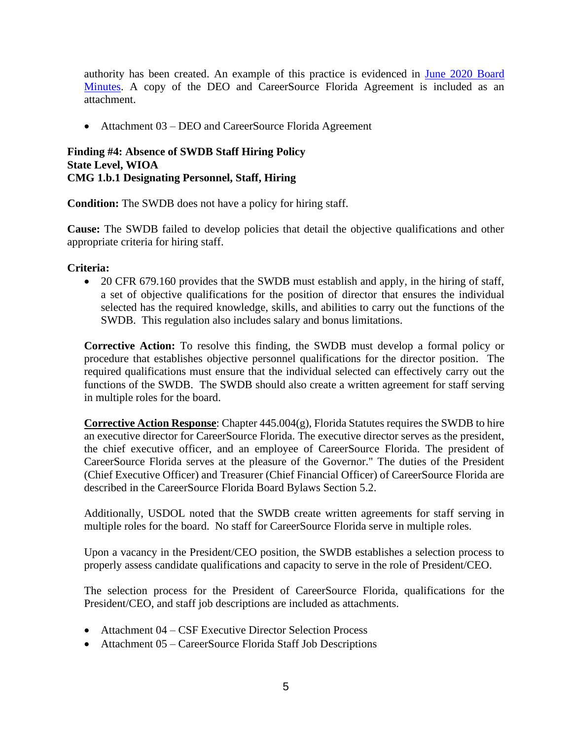authority has been created. An example of this practice is evidenced in [June 2020 Board](https://careersourceflorida.com/wp-content/uploads/2020/10/June2020_Final_Approved-Minutes.pdf)  [Minutes.](https://careersourceflorida.com/wp-content/uploads/2020/10/June2020_Final_Approved-Minutes.pdf) A copy of the DEO and CareerSource Florida Agreement is included as an attachment.

• Attachment 03 – DEO and CareerSource Florida Agreement

#### **Finding #4: Absence of SWDB Staff Hiring Policy State Level, WIOA CMG 1.b.1 Designating Personnel, Staff, Hiring**

**Condition:** The SWDB does not have a policy for hiring staff.

**Cause:** The SWDB failed to develop policies that detail the objective qualifications and other appropriate criteria for hiring staff.

### **Criteria:**

• 20 CFR 679.160 provides that the SWDB must establish and apply, in the hiring of staff, a set of objective qualifications for the position of director that ensures the individual selected has the required knowledge, skills, and abilities to carry out the functions of the SWDB. This regulation also includes salary and bonus limitations.

**Corrective Action:** To resolve this finding, the SWDB must develop a formal policy or procedure that establishes objective personnel qualifications for the director position. The required qualifications must ensure that the individual selected can effectively carry out the functions of the SWDB. The SWDB should also create a written agreement for staff serving in multiple roles for the board.

**Corrective Action Response:** Chapter  $445.004(g)$ , Florida Statutes requires the SWDB to hire an executive director for CareerSource Florida. The executive director serves as the president, the chief executive officer, and an employee of CareerSource Florida. The president of CareerSource Florida serves at the pleasure of the Governor." The duties of the President (Chief Executive Officer) and Treasurer (Chief Financial Officer) of CareerSource Florida are described in the CareerSource Florida Board Bylaws Section 5.2.

Additionally, USDOL noted that the SWDB create written agreements for staff serving in multiple roles for the board. No staff for CareerSource Florida serve in multiple roles.

Upon a vacancy in the President/CEO position, the SWDB establishes a selection process to properly assess candidate qualifications and capacity to serve in the role of President/CEO.

The selection process for the President of CareerSource Florida, qualifications for the President/CEO, and staff job descriptions are included as attachments.

- Attachment 04 CSF Executive Director Selection Process
- Attachment 05 CareerSource Florida Staff Job Descriptions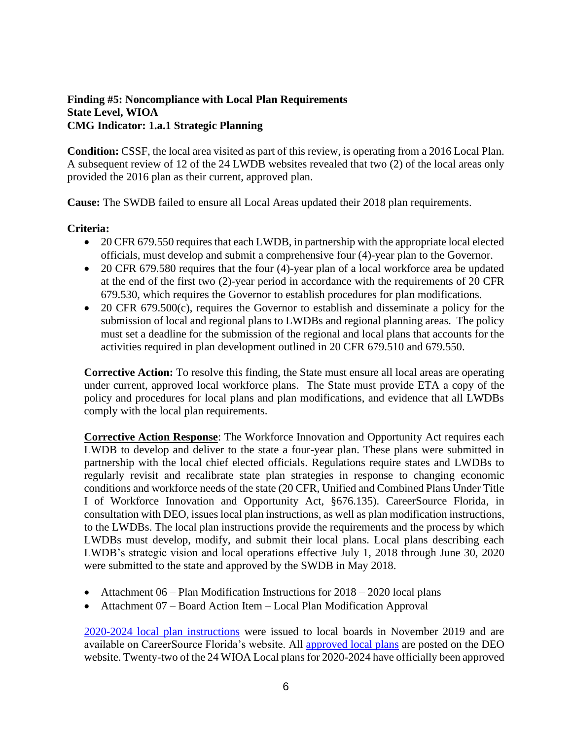### **Finding #5: Noncompliance with Local Plan Requirements State Level, WIOA CMG Indicator: 1.a.1 Strategic Planning**

**Condition:** CSSF, the local area visited as part of this review, is operating from a 2016 Local Plan. A subsequent review of 12 of the 24 LWDB websites revealed that two (2) of the local areas only provided the 2016 plan as their current, approved plan.

**Cause:** The SWDB failed to ensure all Local Areas updated their 2018 plan requirements.

### **Criteria:**

- 20 CFR 679.550 requires that each LWDB, in partnership with the appropriate local elected officials, must develop and submit a comprehensive four (4)-year plan to the Governor.
- 20 CFR 679.580 requires that the four (4)-year plan of a local workforce area be updated at the end of the first two (2)-year period in accordance with the requirements of 20 CFR 679.530, which requires the Governor to establish procedures for plan modifications.
- 20 CFR 679.500(c), requires the Governor to establish and disseminate a policy for the submission of local and regional plans to LWDBs and regional planning areas. The policy must set a deadline for the submission of the regional and local plans that accounts for the activities required in plan development outlined in 20 CFR 679.510 and 679.550.

**Corrective Action:** To resolve this finding, the State must ensure all local areas are operating under current, approved local workforce plans. The State must provide ETA a copy of the policy and procedures for local plans and plan modifications, and evidence that all LWDBs comply with the local plan requirements.

**Corrective Action Response**: The Workforce Innovation and Opportunity Act requires each LWDB to develop and deliver to the state a four-year plan. These plans were submitted in partnership with the local chief elected officials. Regulations require states and LWDBs to regularly revisit and recalibrate state plan strategies in response to changing economic conditions and workforce needs of the state (20 CFR, Unified and Combined Plans Under Title I of Workforce Innovation and Opportunity Act, §676.135). CareerSource Florida, in consultation with DEO, issues local plan instructions, as well as plan modification instructions, to the LWDBs. The local plan instructions provide the requirements and the process by which LWDBs must develop, modify, and submit their local plans. Local plans describing each LWDB's strategic vision and local operations effective July 1, 2018 through June 30, 2020 were submitted to the state and approved by the SWDB in May 2018.

- Attachment  $06$  Plan Modification Instructions for  $2018 2020$  local plans
- Attachment 07 Board Action Item Local Plan Modification Approval

[2020-2024 local plan instructions](https://careersourceflorida.com/about-us/policies-and-initiatives/) were issued to local boards in November 2019 and are available on CareerSource Florida's website. All [approved local plans](http://www.floridajobs.org/local-workforce-development-board-resources/programs-and-resources/local-workforce-development-area-wioa-plans) are posted on the DEO website. Twenty-two of the 24 WIOA Local plans for 2020-2024 have officially been approved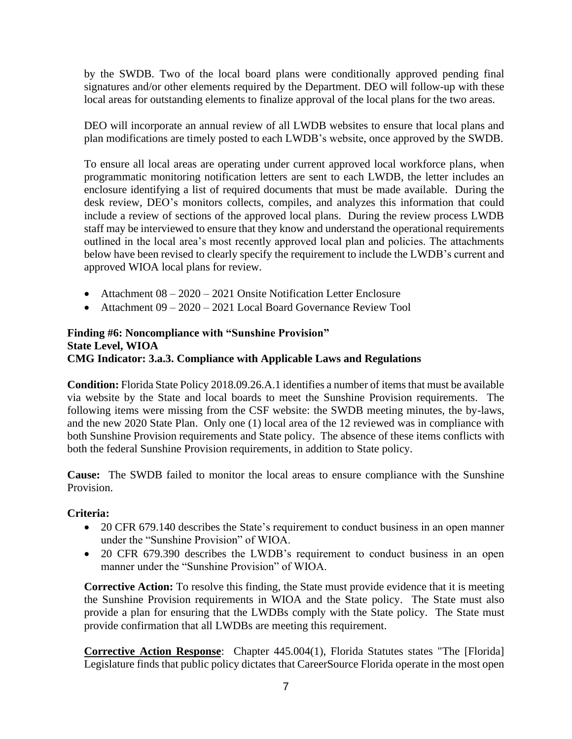by the SWDB. Two of the local board plans were conditionally approved pending final signatures and/or other elements required by the Department. DEO will follow-up with these local areas for outstanding elements to finalize approval of the local plans for the two areas.

DEO will incorporate an annual review of all LWDB websites to ensure that local plans and plan modifications are timely posted to each LWDB's website, once approved by the SWDB.

To ensure all local areas are operating under current approved local workforce plans, when programmatic monitoring notification letters are sent to each LWDB, the letter includes an enclosure identifying a list of required documents that must be made available. During the desk review, DEO's monitors collects, compiles, and analyzes this information that could include a review of sections of the approved local plans. During the review process LWDB staff may be interviewed to ensure that they know and understand the operational requirements outlined in the local area's most recently approved local plan and policies. The attachments below have been revised to clearly specify the requirement to include the LWDB's current and approved WIOA local plans for review.

- Attachment 08 2020 2021 Onsite Notification Letter Enclosure
- Attachment 09 2020 2021 Local Board Governance Review Tool

# **Finding #6: Noncompliance with "Sunshine Provision" State Level, WIOA CMG Indicator: 3.a.3. Compliance with Applicable Laws and Regulations**

**Condition:** Florida State Policy 2018.09.26.A.1 identifies a number of items that must be available via website by the State and local boards to meet the Sunshine Provision requirements. The following items were missing from the CSF website: the SWDB meeting minutes, the by-laws, and the new 2020 State Plan. Only one (1) local area of the 12 reviewed was in compliance with both Sunshine Provision requirements and State policy. The absence of these items conflicts with both the federal Sunshine Provision requirements, in addition to State policy.

**Cause:** The SWDB failed to monitor the local areas to ensure compliance with the Sunshine Provision.

# **Criteria:**

- 20 CFR 679.140 describes the State's requirement to conduct business in an open manner under the "Sunshine Provision" of WIOA.
- 20 CFR 679.390 describes the LWDB's requirement to conduct business in an open manner under the "Sunshine Provision" of WIOA.

**Corrective Action:** To resolve this finding, the State must provide evidence that it is meeting the Sunshine Provision requirements in WIOA and the State policy. The State must also provide a plan for ensuring that the LWDBs comply with the State policy. The State must provide confirmation that all LWDBs are meeting this requirement.

**Corrective Action Response**: Chapter 445.004(1), Florida Statutes states "The [Florida] Legislature finds that public policy dictates that CareerSource Florida operate in the most open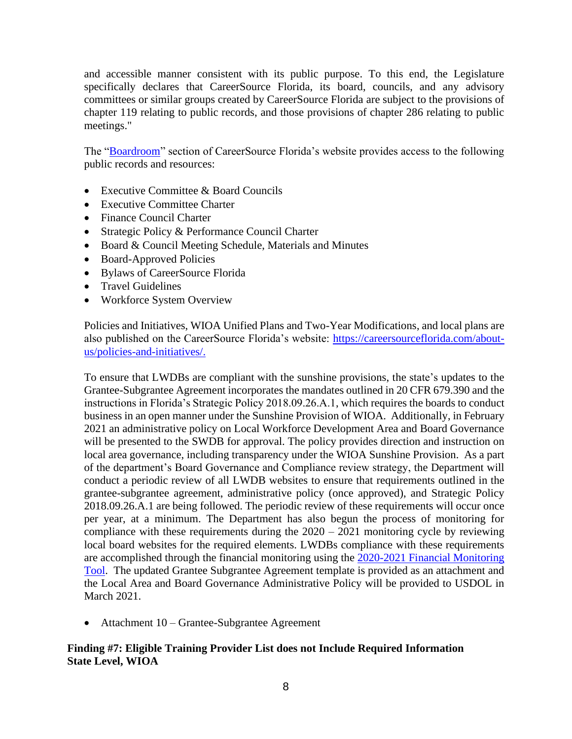and accessible manner consistent with its public purpose. To this end, the Legislature specifically declares that CareerSource Florida, its board, councils, and any advisory committees or similar groups created by CareerSource Florida are subject to the provisions of chapter 119 relating to public records, and those provisions of chapter 286 relating to public meetings."

The ["Boardroom"](https://careersourceflorida.com/boardroom/) section of CareerSource Florida's website provides access to the following public records and resources:

- Executive Committee & Board Councils
- Executive Committee Charter
- Finance Council Charter
- Strategic Policy & Performance Council Charter
- Board & Council Meeting Schedule, Materials and Minutes
- Board-Approved Policies
- Bylaws of CareerSource Florida
- Travel Guidelines
- Workforce System Overview

Policies and Initiatives, WIOA Unified Plans and Two-Year Modifications, and local plans are also published on the CareerSource Florida's website: [https://careersourceflorida.com/about](https://careersourceflorida.com/about-us/policies-and-initiatives/)[us/policies-and-initiatives/.](https://careersourceflorida.com/about-us/policies-and-initiatives/)

To ensure that LWDBs are compliant with the sunshine provisions, the state's updates to the Grantee-Subgrantee Agreement incorporates the mandates outlined in 20 CFR 679.390 and the instructions in Florida's Strategic Policy 2018.09.26.A.1, which requires the boards to conduct business in an open manner under the Sunshine Provision of WIOA. Additionally, in February 2021 an administrative policy on Local Workforce Development Area and Board Governance will be presented to the SWDB for approval. The policy provides direction and instruction on local area governance, including transparency under the WIOA Sunshine Provision. As a part of the department's Board Governance and Compliance review strategy, the Department will conduct a periodic review of all LWDB websites to ensure that requirements outlined in the grantee-subgrantee agreement, administrative policy (once approved), and Strategic Policy 2018.09.26.A.1 are being followed. The periodic review of these requirements will occur once per year, at a minimum. The Department has also begun the process of monitoring for compliance with these requirements during the 2020 – 2021 monitoring cycle by reviewing local board websites for the required elements. LWDBs compliance with these requirements are accomplished through the financial monitoring using the [2020-2021 Financial Monitoring](http://www.floridajobs.org/docs/default-source/division-of-finance-and-administration/financial-monitoring-and-accountability/tools-and-templates/2020-21-financial-monitoring-tool.pdf?sfvrsn=db374ab0_2)  [Tool.](http://www.floridajobs.org/docs/default-source/division-of-finance-and-administration/financial-monitoring-and-accountability/tools-and-templates/2020-21-financial-monitoring-tool.pdf?sfvrsn=db374ab0_2) The updated Grantee Subgrantee Agreement template is provided as an attachment and the Local Area and Board Governance Administrative Policy will be provided to USDOL in March 2021.

• Attachment 10 – Grantee-Subgrantee Agreement

# **Finding #7: Eligible Training Provider List does not Include Required Information State Level, WIOA**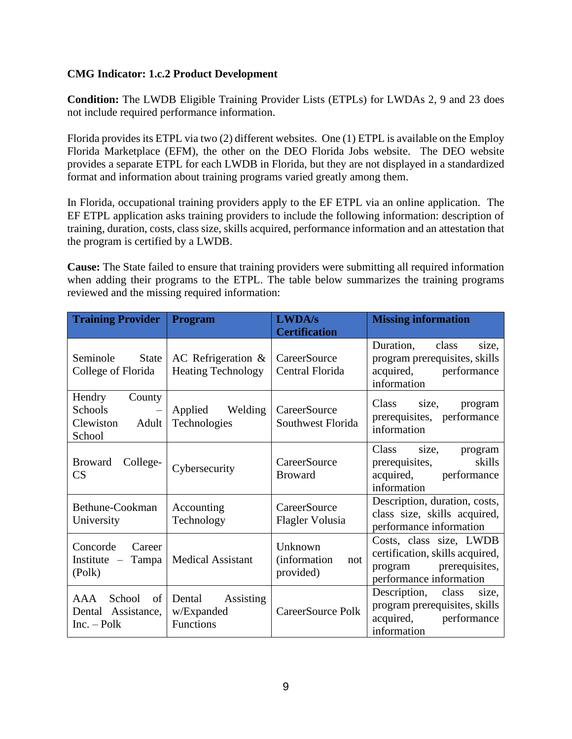# **CMG Indicator: 1.c.2 Product Development**

**Condition:** The LWDB Eligible Training Provider Lists (ETPLs) for LWDAs 2, 9 and 23 does not include required performance information.

Florida provides its ETPL via two (2) different websites. One (1) ETPL is available on the Employ Florida Marketplace (EFM), the other on the DEO Florida Jobs website. The DEO website provides a separate ETPL for each LWDB in Florida, but they are not displayed in a standardized format and information about training programs varied greatly among them.

In Florida, occupational training providers apply to the EF ETPL via an online application. The EF ETPL application asks training providers to include the following information: description of training, duration, costs, class size, skills acquired, performance information and an attestation that the program is certified by a LWDB.

**Cause:** The State failed to ensure that training providers were submitting all required information when adding their programs to the ETPL. The table below summarizes the training programs reviewed and the missing required information:

| <b>Training Provider</b>                                                         | <b>Program</b>                                        | <b>LWDA/s</b><br><b>Certification</b>               | <b>Missing information</b>                                                                                      |
|----------------------------------------------------------------------------------|-------------------------------------------------------|-----------------------------------------------------|-----------------------------------------------------------------------------------------------------------------|
| Seminole<br>State<br>College of Florida                                          | AC Refrigeration $\&$<br><b>Heating Technology</b>    | CareerSource<br>Central Florida                     | Duration, class<br>size,<br>program prerequisites, skills<br>acquired, performance<br>information               |
| Hendry<br>County<br>Schools<br>$\longrightarrow$<br>Clewiston<br>Adult<br>School | Applied Welding<br>Technologies                       | CareerSource<br>Southwest Florida                   | Class<br>size,<br>program<br>prerequisites, performance<br>information                                          |
| <b>Broward</b><br>College-<br>CS                                                 | Cybersecurity                                         | CareerSource<br><b>Broward</b>                      | Class<br>size,<br>program<br>skills<br>prerequisites,<br>acquired, performance<br>information                   |
| Bethune-Cookman<br>University                                                    | Accounting<br>Technology                              | <b>CareerSource</b><br>Flagler Volusia              | Description, duration, costs,<br>class size, skills acquired,<br>performance information                        |
| Concorde<br>Career<br>Tampa<br>Institute $-$<br>(Polk)                           | <b>Medical Assistant</b>                              | Unknown<br><i>(information)</i><br>not<br>provided) | Costs, class size, LWDB<br>certification, skills acquired,<br>program prerequisites,<br>performance information |
| School<br>AAA<br>of  <br>Dental Assistance,<br>$Inc. - Polk$                     | Dental<br><b>Assisting</b><br>w/Expanded<br>Functions | CareerSource Polk                                   | Description, class<br>size.<br>program prerequisites, skills<br>acquired, performance<br>information            |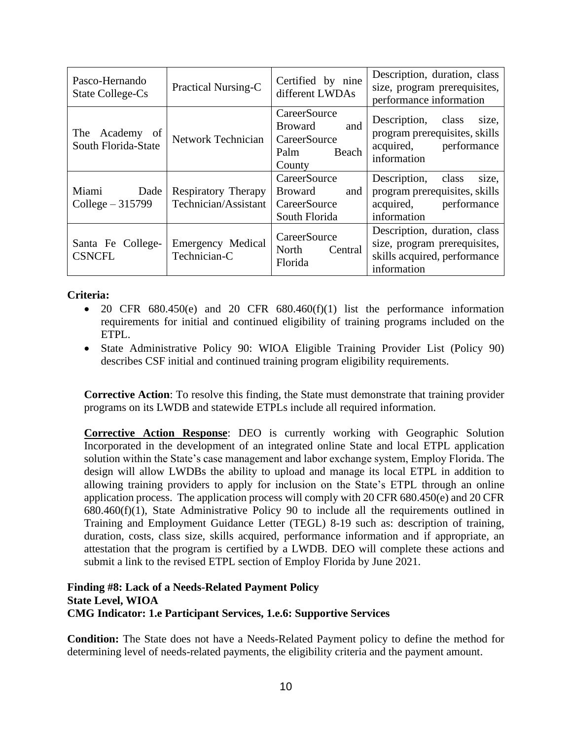| Pasco-Hernando<br><b>State College-Cs</b>  | Practical Nursing-C                         | Certified by nine<br>different LWDAs                                             | Description, duration, class<br>size, program prerequisites,<br>performance information                     |
|--------------------------------------------|---------------------------------------------|----------------------------------------------------------------------------------|-------------------------------------------------------------------------------------------------------------|
| Academy of<br>The T<br>South Florida-State | <b>Network Technician</b>                   | CareerSource<br>and<br><b>Broward</b><br>CareerSource<br>Beach<br>Palm<br>County | Description, class<br>size,<br>program prerequisites, skills<br>acquired,<br>performance<br>information     |
| Miami<br>Dade<br>College $-315799$         | Respiratory Therapy<br>Technician/Assistant | CareerSource<br><b>Broward</b><br>and<br>CareerSource<br>South Florida           | Description,<br>class<br>size,<br>program prerequisites, skills<br>acquired, performance<br>information     |
| Santa Fe College-<br><b>CSNCFL</b>         | Emergency Medical<br>Technician-C           | CareerSource<br>North<br>Central<br>Florida                                      | Description, duration, class<br>size, program prerequisites,<br>skills acquired, performance<br>information |

### **Criteria:**

- 20 CFR  $680.450(e)$  and 20 CFR  $680.460(f)(1)$  list the performance information requirements for initial and continued eligibility of training programs included on the ETPL.
- State Administrative Policy 90: WIOA Eligible Training Provider List (Policy 90) describes CSF initial and continued training program eligibility requirements.

**Corrective Action**: To resolve this finding, the State must demonstrate that training provider programs on its LWDB and statewide ETPLs include all required information.

**Corrective Action Response**: DEO is currently working with Geographic Solution Incorporated in the development of an integrated online State and local ETPL application solution within the State's case management and labor exchange system, Employ Florida. The design will allow LWDBs the ability to upload and manage its local ETPL in addition to allowing training providers to apply for inclusion on the State's ETPL through an online application process. The application process will comply with 20 CFR 680.450(e) and 20 CFR 680.460(f)(1), State Administrative Policy 90 to include all the requirements outlined in Training and Employment Guidance Letter (TEGL) 8-19 such as: description of training, duration, costs, class size, skills acquired, performance information and if appropriate, an attestation that the program is certified by a LWDB. DEO will complete these actions and submit a link to the revised ETPL section of Employ Florida by June 2021.

#### **Finding #8: Lack of a Needs-Related Payment Policy State Level, WIOA CMG Indicator: 1.e Participant Services, 1.e.6: Supportive Services**

**Condition:** The State does not have a Needs-Related Payment policy to define the method for determining level of needs-related payments, the eligibility criteria and the payment amount.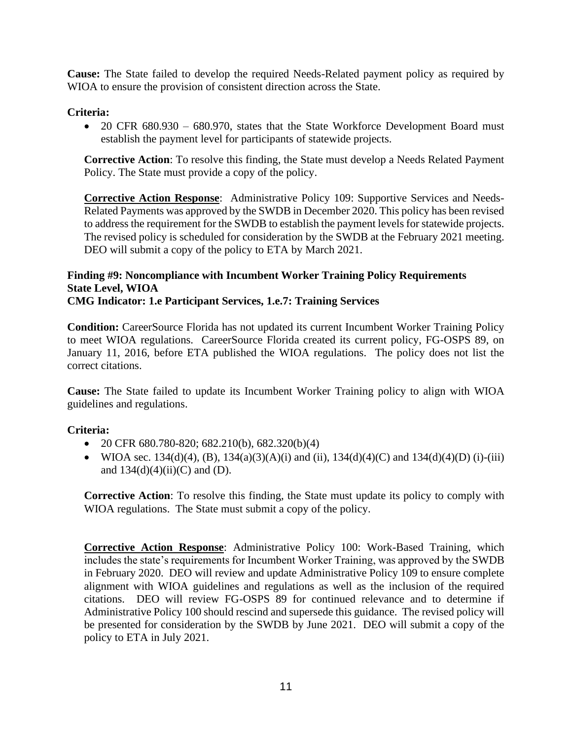**Cause:** The State failed to develop the required Needs-Related payment policy as required by WIOA to ensure the provision of consistent direction across the State.

### **Criteria:**

• 20 CFR 680.930 – 680.970, states that the State Workforce Development Board must establish the payment level for participants of statewide projects.

**Corrective Action**: To resolve this finding, the State must develop a Needs Related Payment Policy. The State must provide a copy of the policy.

**Corrective Action Response**: Administrative Policy 109: Supportive Services and Needs-Related Payments was approved by the SWDB in December 2020. This policy has been revised to address the requirement for the SWDB to establish the payment levels for statewide projects. The revised policy is scheduled for consideration by the SWDB at the February 2021 meeting. DEO will submit a copy of the policy to ETA by March 2021.

#### **Finding #9: Noncompliance with Incumbent Worker Training Policy Requirements State Level, WIOA CMG Indicator: 1.e Participant Services, 1.e.7: Training Services**

**Condition:** CareerSource Florida has not updated its current Incumbent Worker Training Policy to meet WIOA regulations. CareerSource Florida created its current policy, FG-OSPS 89, on January 11, 2016, before ETA published the WIOA regulations. The policy does not list the correct citations.

**Cause:** The State failed to update its Incumbent Worker Training policy to align with WIOA guidelines and regulations.

# **Criteria:**

- 20 CFR 680.780-820; 682.210(b), 682.320(b)(4)
- WIOA sec. 134(d)(4), (B), 134(a)(3)(A)(i) and (ii), 134(d)(4)(C) and 134(d)(4)(D) (i)-(iii) and  $134(d)(4)(ii)(C)$  and (D).

**Corrective Action**: To resolve this finding, the State must update its policy to comply with WIOA regulations. The State must submit a copy of the policy.

**Corrective Action Response**: Administrative Policy 100: Work-Based Training, which includes the state's requirements for Incumbent Worker Training, was approved by the SWDB in February 2020. DEO will review and update Administrative Policy 109 to ensure complete alignment with WIOA guidelines and regulations as well as the inclusion of the required citations. DEO will review FG-OSPS 89 for continued relevance and to determine if Administrative Policy 100 should rescind and supersede this guidance. The revised policy will be presented for consideration by the SWDB by June 2021. DEO will submit a copy of the policy to ETA in July 2021.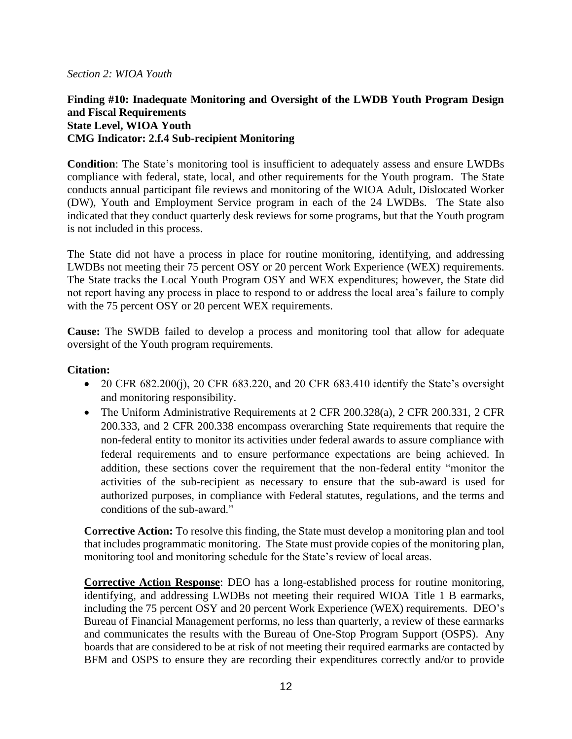#### *Section 2: WIOA Youth*

### **Finding #10: Inadequate Monitoring and Oversight of the LWDB Youth Program Design and Fiscal Requirements State Level, WIOA Youth CMG Indicator: 2.f.4 Sub-recipient Monitoring**

**Condition**: The State's monitoring tool is insufficient to adequately assess and ensure LWDBs compliance with federal, state, local, and other requirements for the Youth program. The State conducts annual participant file reviews and monitoring of the WIOA Adult, Dislocated Worker (DW), Youth and Employment Service program in each of the 24 LWDBs. The State also indicated that they conduct quarterly desk reviews for some programs, but that the Youth program is not included in this process.

The State did not have a process in place for routine monitoring, identifying, and addressing LWDBs not meeting their 75 percent OSY or 20 percent Work Experience (WEX) requirements. The State tracks the Local Youth Program OSY and WEX expenditures; however, the State did not report having any process in place to respond to or address the local area's failure to comply with the 75 percent OSY or 20 percent WEX requirements.

**Cause:** The SWDB failed to develop a process and monitoring tool that allow for adequate oversight of the Youth program requirements.

#### **Citation:**

- 20 CFR  $682.200(i)$ , 20 CFR  $683.220$ , and 20 CFR  $683.410$  identify the State's oversight and monitoring responsibility.
- The Uniform Administrative Requirements at 2 CFR 200.328(a), 2 CFR 200.331, 2 CFR 200.333, and 2 CFR 200.338 encompass overarching State requirements that require the non-federal entity to monitor its activities under federal awards to assure compliance with federal requirements and to ensure performance expectations are being achieved. In addition, these sections cover the requirement that the non-federal entity "monitor the activities of the sub-recipient as necessary to ensure that the sub-award is used for authorized purposes, in compliance with Federal statutes, regulations, and the terms and conditions of the sub-award."

**Corrective Action:** To resolve this finding, the State must develop a monitoring plan and tool that includes programmatic monitoring. The State must provide copies of the monitoring plan, monitoring tool and monitoring schedule for the State's review of local areas.

**Corrective Action Response**: DEO has a long-established process for routine monitoring, identifying, and addressing LWDBs not meeting their required WIOA Title 1 B earmarks, including the 75 percent OSY and 20 percent Work Experience (WEX) requirements. DEO's Bureau of Financial Management performs, no less than quarterly, a review of these earmarks and communicates the results with the Bureau of One-Stop Program Support (OSPS). Any boards that are considered to be at risk of not meeting their required earmarks are contacted by BFM and OSPS to ensure they are recording their expenditures correctly and/or to provide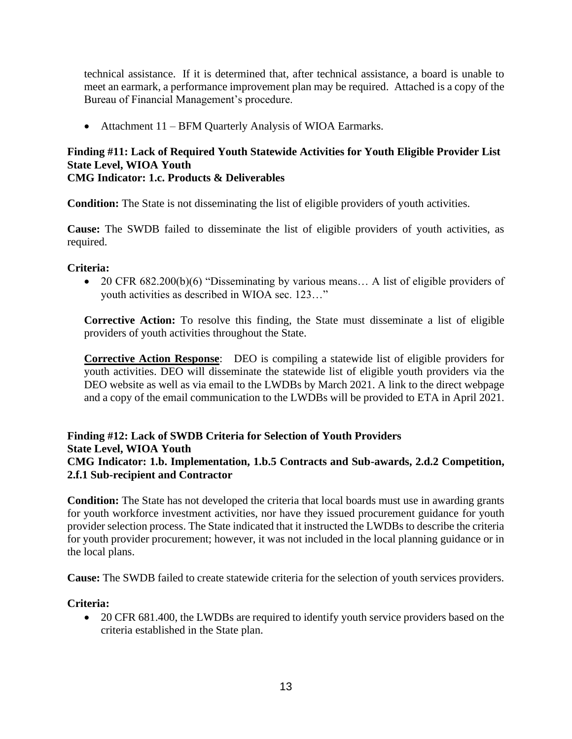technical assistance. If it is determined that, after technical assistance, a board is unable to meet an earmark, a performance improvement plan may be required. Attached is a copy of the Bureau of Financial Management's procedure.

• Attachment 11 – BFM Quarterly Analysis of WIOA Earmarks.

#### **Finding #11: Lack of Required Youth Statewide Activities for Youth Eligible Provider List State Level, WIOA Youth CMG Indicator: 1.c. Products & Deliverables**

**Condition:** The State is not disseminating the list of eligible providers of youth activities.

**Cause:** The SWDB failed to disseminate the list of eligible providers of youth activities, as required.

# **Criteria:**

• 20 CFR 682.200(b)(6) "Disseminating by various means... A list of eligible providers of youth activities as described in WIOA sec. 123…"

**Corrective Action:** To resolve this finding, the State must disseminate a list of eligible providers of youth activities throughout the State.

**Corrective Action Response**: DEO is compiling a statewide list of eligible providers for youth activities. DEO will disseminate the statewide list of eligible youth providers via the DEO website as well as via email to the LWDBs by March 2021. A link to the direct webpage and a copy of the email communication to the LWDBs will be provided to ETA in April 2021.

# **Finding #12: Lack of SWDB Criteria for Selection of Youth Providers State Level, WIOA Youth CMG Indicator: 1.b. Implementation, 1.b.5 Contracts and Sub-awards, 2.d.2 Competition, 2.f.1 Sub-recipient and Contractor**

**Condition:** The State has not developed the criteria that local boards must use in awarding grants for youth workforce investment activities, nor have they issued procurement guidance for youth provider selection process. The State indicated that it instructed the LWDBs to describe the criteria for youth provider procurement; however, it was not included in the local planning guidance or in the local plans.

**Cause:** The SWDB failed to create statewide criteria for the selection of youth services providers.

# **Criteria:**

• 20 CFR 681.400, the LWDBs are required to identify youth service providers based on the criteria established in the State plan.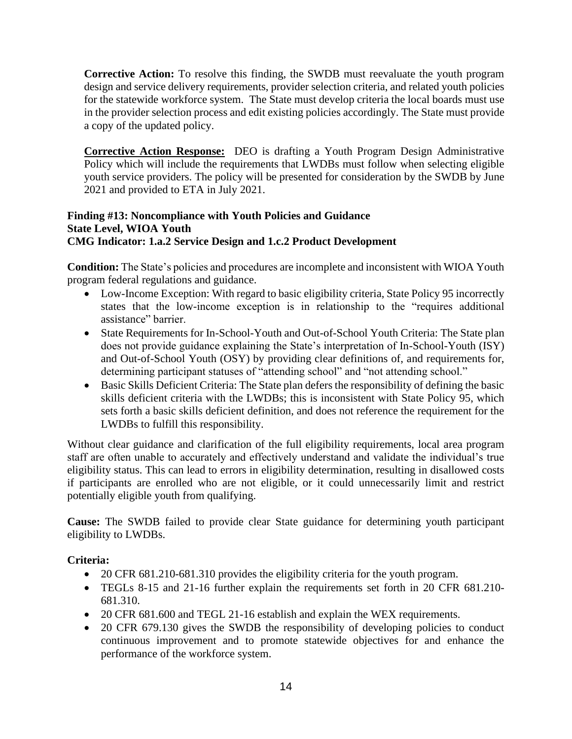**Corrective Action:** To resolve this finding, the SWDB must reevaluate the youth program design and service delivery requirements, provider selection criteria, and related youth policies for the statewide workforce system. The State must develop criteria the local boards must use in the provider selection process and edit existing policies accordingly. The State must provide a copy of the updated policy.

**Corrective Action Response:** DEO is drafting a Youth Program Design Administrative Policy which will include the requirements that LWDBs must follow when selecting eligible youth service providers. The policy will be presented for consideration by the SWDB by June 2021 and provided to ETA in July 2021.

### **Finding #13: Noncompliance with Youth Policies and Guidance State Level, WIOA Youth CMG Indicator: 1.a.2 Service Design and 1.c.2 Product Development**

**Condition:** The State's policies and procedures are incomplete and inconsistent with WIOA Youth program federal regulations and guidance.

- Low-Income Exception: With regard to basic eligibility criteria, State Policy 95 incorrectly states that the low-income exception is in relationship to the "requires additional assistance" barrier.
- State Requirements for In-School-Youth and Out-of-School Youth Criteria: The State plan does not provide guidance explaining the State's interpretation of In-School-Youth (ISY) and Out-of-School Youth (OSY) by providing clear definitions of, and requirements for, determining participant statuses of "attending school" and "not attending school."
- Basic Skills Deficient Criteria: The State plan defers the responsibility of defining the basic skills deficient criteria with the LWDBs; this is inconsistent with State Policy 95, which sets forth a basic skills deficient definition, and does not reference the requirement for the LWDBs to fulfill this responsibility.

Without clear guidance and clarification of the full eligibility requirements, local area program staff are often unable to accurately and effectively understand and validate the individual's true eligibility status. This can lead to errors in eligibility determination, resulting in disallowed costs if participants are enrolled who are not eligible, or it could unnecessarily limit and restrict potentially eligible youth from qualifying.

**Cause:** The SWDB failed to provide clear State guidance for determining youth participant eligibility to LWDBs.

# **Criteria:**

- 20 CFR 681.210-681.310 provides the eligibility criteria for the youth program.
- TEGLs 8-15 and 21-16 further explain the requirements set forth in 20 CFR 681.210-681.310.
- 20 CFR 681.600 and TEGL 21-16 establish and explain the WEX requirements.
- 20 CFR 679.130 gives the SWDB the responsibility of developing policies to conduct continuous improvement and to promote statewide objectives for and enhance the performance of the workforce system.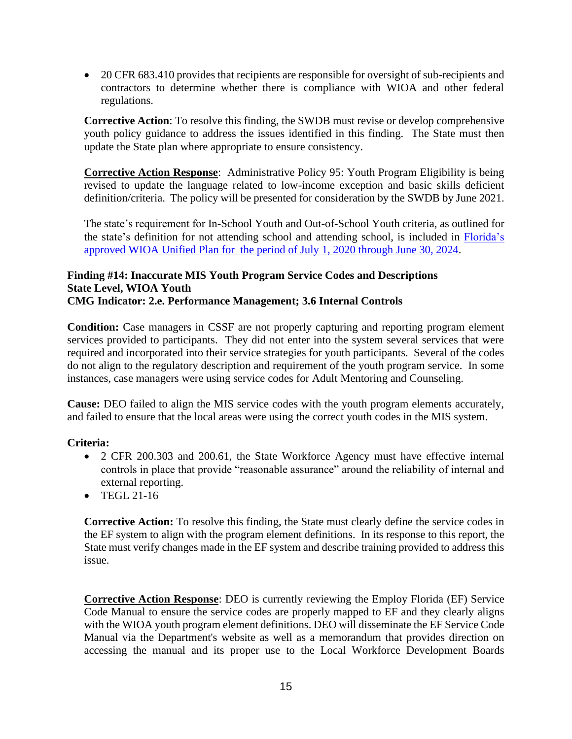• 20 CFR 683.410 provides that recipients are responsible for oversight of sub-recipients and contractors to determine whether there is compliance with WIOA and other federal regulations.

**Corrective Action**: To resolve this finding, the SWDB must revise or develop comprehensive youth policy guidance to address the issues identified in this finding. The State must then update the State plan where appropriate to ensure consistency.

**Corrective Action Response**: Administrative Policy 95: Youth Program Eligibility is being revised to update the language related to low-income exception and basic skills deficient definition/criteria. The policy will be presented for consideration by the SWDB by June 2021.

The state's requirement for In-School Youth and Out-of-School Youth criteria, as outlined for the state's definition for not attending school and attending school, is included in [Florida's](https://careersourceflorida.com/wp-content/uploads/2020/09/2020-2024-WIOA-Unified-Plan.pdf)  [approved WIOA Unified Plan for the period of July 1, 2020 through June 30, 2024.](https://careersourceflorida.com/wp-content/uploads/2020/09/2020-2024-WIOA-Unified-Plan.pdf)

#### **Finding #14: Inaccurate MIS Youth Program Service Codes and Descriptions State Level, WIOA Youth CMG Indicator: 2.e. Performance Management; 3.6 Internal Controls**

**Condition:** Case managers in CSSF are not properly capturing and reporting program element services provided to participants. They did not enter into the system several services that were required and incorporated into their service strategies for youth participants. Several of the codes do not align to the regulatory description and requirement of the youth program service. In some instances, case managers were using service codes for Adult Mentoring and Counseling.

**Cause:** DEO failed to align the MIS service codes with the youth program elements accurately, and failed to ensure that the local areas were using the correct youth codes in the MIS system.

# **Criteria:**

- 2 CFR 200.303 and 200.61, the State Workforce Agency must have effective internal controls in place that provide "reasonable assurance" around the reliability of internal and external reporting.
- TEGL 21-16

**Corrective Action:** To resolve this finding, the State must clearly define the service codes in the EF system to align with the program element definitions. In its response to this report, the State must verify changes made in the EF system and describe training provided to address this issue.

**Corrective Action Response**: DEO is currently reviewing the Employ Florida (EF) Service Code Manual to ensure the service codes are properly mapped to EF and they clearly aligns with the WIOA youth program element definitions. DEO will disseminate the EF Service Code Manual via the Department's website as well as a memorandum that provides direction on accessing the manual and its proper use to the Local Workforce Development Boards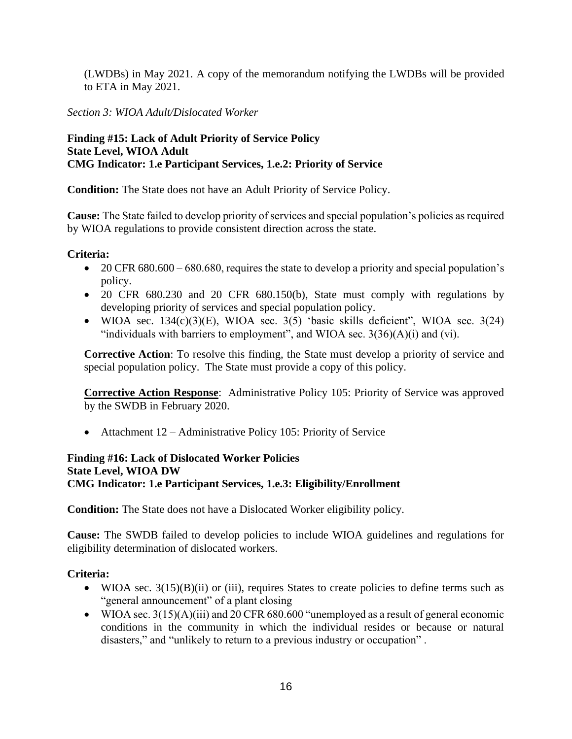(LWDBs) in May 2021. A copy of the memorandum notifying the LWDBs will be provided to ETA in May 2021.

# *Section 3: WIOA Adult/Dislocated Worker*

### **Finding #15: Lack of Adult Priority of Service Policy State Level, WIOA Adult CMG Indicator: 1.e Participant Services, 1.e.2: Priority of Service**

**Condition:** The State does not have an Adult Priority of Service Policy.

**Cause:** The State failed to develop priority of services and special population's policies as required by WIOA regulations to provide consistent direction across the state.

### **Criteria:**

- 20 CFR  $680.600 680.680$ , requires the state to develop a priority and special population's policy.
- 20 CFR 680.230 and 20 CFR 680.150(b), State must comply with regulations by developing priority of services and special population policy.
- WIOA sec.  $134(c)(3)(E)$ , WIOA sec.  $3(5)$  'basic skills deficient'', WIOA sec.  $3(24)$ "individuals with barriers to employment", and WIOA sec.  $3(36)(A)(i)$  and (vi).

**Corrective Action**: To resolve this finding, the State must develop a priority of service and special population policy. The State must provide a copy of this policy.

**Corrective Action Response**: Administrative Policy 105: Priority of Service was approved by the SWDB in February 2020.

• Attachment 12 – Administrative Policy 105: Priority of Service

#### **Finding #16: Lack of Dislocated Worker Policies State Level, WIOA DW CMG Indicator: 1.e Participant Services, 1.e.3: Eligibility/Enrollment**

**Condition:** The State does not have a Dislocated Worker eligibility policy.

**Cause:** The SWDB failed to develop policies to include WIOA guidelines and regulations for eligibility determination of dislocated workers.

#### **Criteria:**

- WIOA sec.  $3(15)(B)(ii)$  or (iii), requires States to create policies to define terms such as "general announcement" of a plant closing
- WIOA sec.  $3(15)(A)(iii)$  and 20 CFR 680.600 "unemployed as a result of general economic conditions in the community in which the individual resides or because or natural disasters," and "unlikely to return to a previous industry or occupation" .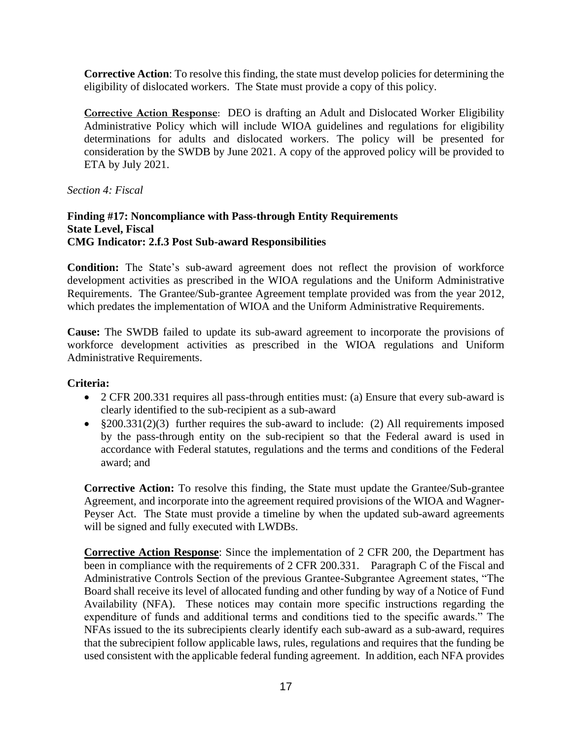**Corrective Action**: To resolve this finding, the state must develop policies for determining the eligibility of dislocated workers. The State must provide a copy of this policy.

**Corrective Action Response**: DEO is drafting an Adult and Dislocated Worker Eligibility Administrative Policy which will include WIOA guidelines and regulations for eligibility determinations for adults and dislocated workers. The policy will be presented for consideration by the SWDB by June 2021. A copy of the approved policy will be provided to ETA by July 2021.

*Section 4: Fiscal*

#### **Finding #17: Noncompliance with Pass-through Entity Requirements State Level, Fiscal CMG Indicator: 2.f.3 Post Sub-award Responsibilities**

**Condition:** The State's sub-award agreement does not reflect the provision of workforce development activities as prescribed in the WIOA regulations and the Uniform Administrative Requirements. The Grantee/Sub-grantee Agreement template provided was from the year 2012, which predates the implementation of WIOA and the Uniform Administrative Requirements.

**Cause:** The SWDB failed to update its sub-award agreement to incorporate the provisions of workforce development activities as prescribed in the WIOA regulations and Uniform Administrative Requirements.

# **Criteria:**

- 2 CFR 200.331 requires all pass-through entities must: (a) Ensure that every sub-award is clearly identified to the sub-recipient as a sub-award
- §200.331(2)(3) further requires the sub-award to include: (2) All requirements imposed by the pass-through entity on the sub-recipient so that the Federal award is used in accordance with Federal statutes, regulations and the terms and conditions of the Federal award; and

**Corrective Action:** To resolve this finding, the State must update the Grantee/Sub-grantee Agreement, and incorporate into the agreement required provisions of the WIOA and Wagner-Peyser Act. The State must provide a timeline by when the updated sub-award agreements will be signed and fully executed with LWDBs.

**Corrective Action Response**: Since the implementation of 2 CFR 200, the Department has been in compliance with the requirements of 2 CFR 200.331. Paragraph C of the Fiscal and Administrative Controls Section of the previous Grantee-Subgrantee Agreement states, "The Board shall receive its level of allocated funding and other funding by way of a Notice of Fund Availability (NFA). These notices may contain more specific instructions regarding the expenditure of funds and additional terms and conditions tied to the specific awards." The NFAs issued to the its subrecipients clearly identify each sub-award as a sub-award, requires that the subrecipient follow applicable laws, rules, regulations and requires that the funding be used consistent with the applicable federal funding agreement. In addition, each NFA provides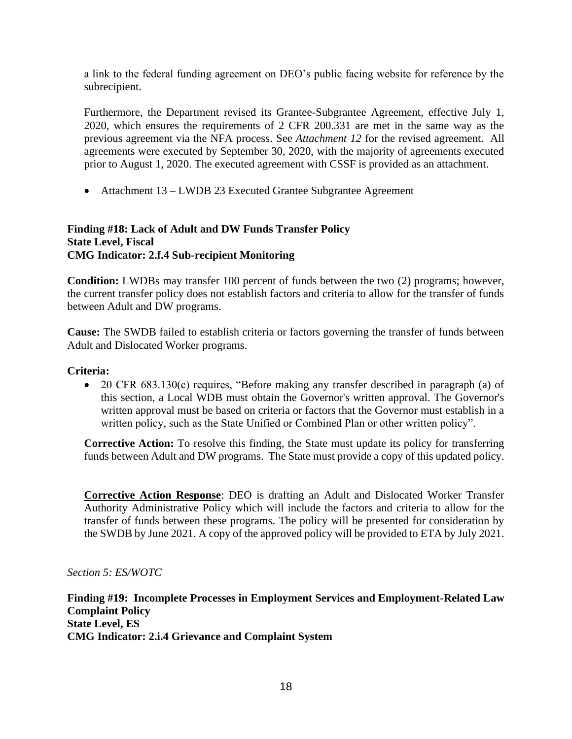a link to the federal funding agreement on DEO's public facing website for reference by the subrecipient.

Furthermore, the Department revised its Grantee-Subgrantee Agreement, effective July 1, 2020, which ensures the requirements of 2 CFR 200.331 are met in the same way as the previous agreement via the NFA process. See *Attachment 12* for the revised agreement. All agreements were executed by September 30, 2020, with the majority of agreements executed prior to August 1, 2020. The executed agreement with CSSF is provided as an attachment.

• Attachment 13 – LWDB 23 Executed Grantee Subgrantee Agreement

# **Finding #18: Lack of Adult and DW Funds Transfer Policy State Level, Fiscal CMG Indicator: 2.f.4 Sub-recipient Monitoring**

**Condition:** LWDBs may transfer 100 percent of funds between the two (2) programs; however, the current transfer policy does not establish factors and criteria to allow for the transfer of funds between Adult and DW programs.

**Cause:** The SWDB failed to establish criteria or factors governing the transfer of funds between Adult and Dislocated Worker programs.

# **Criteria:**

• 20 CFR 683.130(c) requires, "Before making any transfer described in paragraph (a) of this section, a Local WDB must obtain the Governor's written approval. The Governor's written approval must be based on criteria or factors that the Governor must establish in a written policy, such as the State Unified or Combined Plan or other written policy".

**Corrective Action:** To resolve this finding, the State must update its policy for transferring funds between Adult and DW programs. The State must provide a copy of this updated policy.

**Corrective Action Response**: DEO is drafting an Adult and Dislocated Worker Transfer Authority Administrative Policy which will include the factors and criteria to allow for the transfer of funds between these programs. The policy will be presented for consideration by the SWDB by June 2021. A copy of the approved policy will be provided to ETA by July 2021.

#### *Section 5: ES/WOTC*

**Finding #19: Incomplete Processes in Employment Services and Employment-Related Law Complaint Policy State Level, ES CMG Indicator: 2.i.4 Grievance and Complaint System**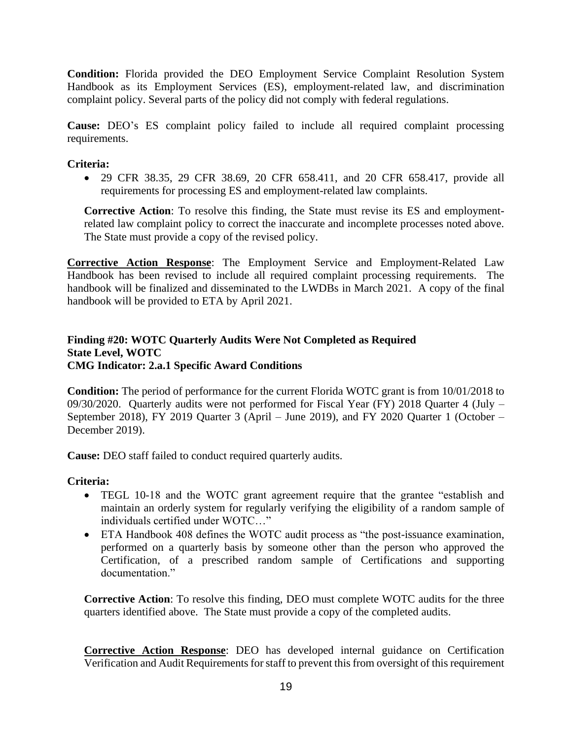**Condition:** Florida provided the DEO Employment Service Complaint Resolution System Handbook as its Employment Services (ES), employment-related law, and discrimination complaint policy. Several parts of the policy did not comply with federal regulations.

**Cause:** DEO's ES complaint policy failed to include all required complaint processing requirements.

### **Criteria:**

• 29 CFR 38.35, 29 CFR 38.69, 20 CFR 658.411, and 20 CFR 658.417, provide all requirements for processing ES and employment-related law complaints.

**Corrective Action**: To resolve this finding, the State must revise its ES and employmentrelated law complaint policy to correct the inaccurate and incomplete processes noted above. The State must provide a copy of the revised policy.

**Corrective Action Response**: The Employment Service and Employment-Related Law Handbook has been revised to include all required complaint processing requirements. The handbook will be finalized and disseminated to the LWDBs in March 2021. A copy of the final handbook will be provided to ETA by April 2021.

### **Finding #20: WOTC Quarterly Audits Were Not Completed as Required State Level, WOTC CMG Indicator: 2.a.1 Specific Award Conditions**

**Condition:** The period of performance for the current Florida WOTC grant is from 10/01/2018 to 09/30/2020. Quarterly audits were not performed for Fiscal Year (FY) 2018 Quarter 4 (July – September 2018), FY 2019 Quarter 3 (April – June 2019), and FY 2020 Quarter 1 (October – December 2019).

**Cause:** DEO staff failed to conduct required quarterly audits.

# **Criteria:**

- TEGL 10-18 and the WOTC grant agreement require that the grantee "establish and maintain an orderly system for regularly verifying the eligibility of a random sample of individuals certified under WOTC…"
- ETA Handbook 408 defines the WOTC audit process as "the post-issuance examination, performed on a quarterly basis by someone other than the person who approved the Certification, of a prescribed random sample of Certifications and supporting documentation."

**Corrective Action**: To resolve this finding, DEO must complete WOTC audits for the three quarters identified above. The State must provide a copy of the completed audits.

**Corrective Action Response**: DEO has developed internal guidance on Certification Verification and Audit Requirements for staff to prevent this from oversight of this requirement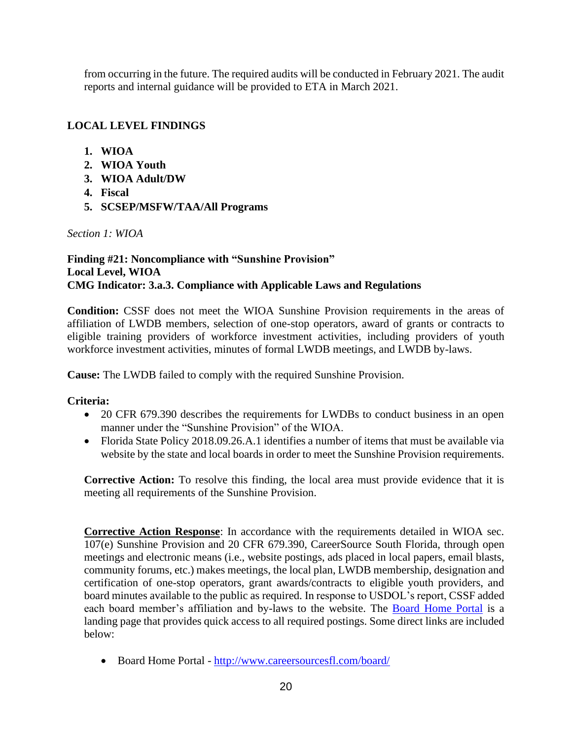from occurring in the future. The required audits will be conducted in February 2021. The audit reports and internal guidance will be provided to ETA in March 2021.

# **LOCAL LEVEL FINDINGS**

- **1. WIOA**
- **2. WIOA Youth**
- **3. WIOA Adult/DW**
- **4. Fiscal**
- **5. SCSEP/MSFW/TAA/All Programs**

*Section 1: WIOA*

# **Finding #21: Noncompliance with "Sunshine Provision" Local Level, WIOA CMG Indicator: 3.a.3. Compliance with Applicable Laws and Regulations**

**Condition:** CSSF does not meet the WIOA Sunshine Provision requirements in the areas of affiliation of LWDB members, selection of one-stop operators, award of grants or contracts to eligible training providers of workforce investment activities, including providers of youth workforce investment activities, minutes of formal LWDB meetings, and LWDB by-laws.

**Cause:** The LWDB failed to comply with the required Sunshine Provision.

# **Criteria:**

- 20 CFR 679.390 describes the requirements for LWDBs to conduct business in an open manner under the "Sunshine Provision" of the WIOA.
- Florida State Policy 2018.09.26.A.1 identifies a number of items that must be available via website by the state and local boards in order to meet the Sunshine Provision requirements.

**Corrective Action:** To resolve this finding, the local area must provide evidence that it is meeting all requirements of the Sunshine Provision.

**Corrective Action Response**: In accordance with the requirements detailed in WIOA sec. 107(e) Sunshine Provision and 20 CFR 679.390, CareerSource South Florida, through open meetings and electronic means (i.e., website postings, ads placed in local papers, email blasts, community forums, etc.) makes meetings, the local plan, LWDB membership, designation and certification of one-stop operators, grant awards/contracts to eligible youth providers, and board minutes available to the public as required. In response to USDOL's report, CSSF added each board member's affiliation and by-laws to the website. The [Board Home Portal](http://www.careersourcesfl.com/board/) is a landing page that provides quick access to all required postings. Some direct links are included below:

• Board Home Portal - <http://www.careersourcesfl.com/board/>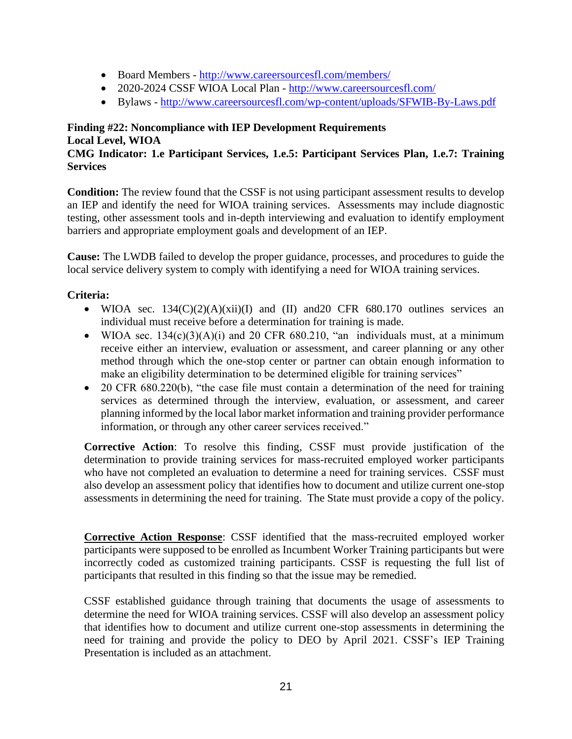- Board Members <http://www.careersourcesfl.com/members/>
- 2020-2024 CSSF WIOA Local Plan <http://www.careersourcesfl.com/>
- Bylaws <http://www.careersourcesfl.com/wp-content/uploads/SFWIB-By-Laws.pdf>

# **Finding #22: Noncompliance with IEP Development Requirements Local Level, WIOA**

# **CMG Indicator: 1.e Participant Services, 1.e.5: Participant Services Plan, 1.e.7: Training Services**

**Condition:** The review found that the CSSF is not using participant assessment results to develop an IEP and identify the need for WIOA training services. Assessments may include diagnostic testing, other assessment tools and in-depth interviewing and evaluation to identify employment barriers and appropriate employment goals and development of an IEP.

**Cause:** The LWDB failed to develop the proper guidance, processes, and procedures to guide the local service delivery system to comply with identifying a need for WIOA training services.

# **Criteria:**

- WIOA sec.  $134(C)(2)(A)(xii)(I)$  and  $(II)$  and  $20 CFR$  680.170 outlines services an individual must receive before a determination for training is made.
- WIOA sec.  $134(c)(3)(A)(i)$  and 20 CFR 680.210, "an individuals must, at a minimum receive either an interview, evaluation or assessment, and career planning or any other method through which the one-stop center or partner can obtain enough information to make an eligibility determination to be determined eligible for training services"
- 20 CFR 680.220(b), "the case file must contain a determination of the need for training services as determined through the interview, evaluation, or assessment, and career planning informed by the local labor market information and training provider performance information, or through any other career services received."

**Corrective Action**: To resolve this finding, CSSF must provide justification of the determination to provide training services for mass-recruited employed worker participants who have not completed an evaluation to determine a need for training services. CSSF must also develop an assessment policy that identifies how to document and utilize current one-stop assessments in determining the need for training. The State must provide a copy of the policy.

**Corrective Action Response**: CSSF identified that the mass-recruited employed worker participants were supposed to be enrolled as Incumbent Worker Training participants but were incorrectly coded as customized training participants. CSSF is requesting the full list of participants that resulted in this finding so that the issue may be remedied.

CSSF established guidance through training that documents the usage of assessments to determine the need for WIOA training services. CSSF will also develop an assessment policy that identifies how to document and utilize current one-stop assessments in determining the need for training and provide the policy to DEO by April 2021. CSSF's IEP Training Presentation is included as an attachment.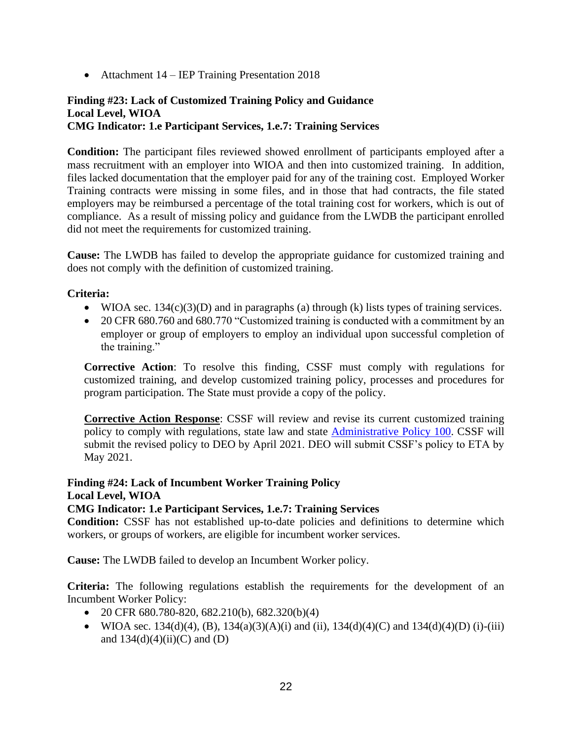• Attachment 14 – IEP Training Presentation 2018

# **Finding #23: Lack of Customized Training Policy and Guidance Local Level, WIOA CMG Indicator: 1.e Participant Services, 1.e.7: Training Services**

**Condition:** The participant files reviewed showed enrollment of participants employed after a mass recruitment with an employer into WIOA and then into customized training. In addition, files lacked documentation that the employer paid for any of the training cost. Employed Worker Training contracts were missing in some files, and in those that had contracts, the file stated employers may be reimbursed a percentage of the total training cost for workers, which is out of compliance. As a result of missing policy and guidance from the LWDB the participant enrolled did not meet the requirements for customized training.

**Cause:** The LWDB has failed to develop the appropriate guidance for customized training and does not comply with the definition of customized training.

# **Criteria:**

- WIOA sec. 134(c)(3)(D) and in paragraphs (a) through (k) lists types of training services.
- 20 CFR 680.760 and 680.770 "Customized training is conducted with a commitment by an employer or group of employers to employ an individual upon successful completion of the training."

**Corrective Action**: To resolve this finding, CSSF must comply with regulations for customized training, and develop customized training policy, processes and procedures for program participation. The State must provide a copy of the policy.

**Corrective Action Response**: CSSF will review and revise its current customized training policy to comply with regulations, state law and state [Administrative Policy 100.](http://www.floridajobs.org/docs/default-source/lwdb-resources/policy-and-guidance/guidance-papers/2020-guidance-papers/adminpolicy100_-work-basedtrng---final.pdf?sfvrsn=a88143b0_2) CSSF will submit the revised policy to DEO by April 2021. DEO will submit CSSF's policy to ETA by May 2021.

**Finding #24: Lack of Incumbent Worker Training Policy Local Level, WIOA**

# **CMG Indicator: 1.e Participant Services, 1.e.7: Training Services**

**Condition:** CSSF has not established up-to-date policies and definitions to determine which workers, or groups of workers, are eligible for incumbent worker services.

**Cause:** The LWDB failed to develop an Incumbent Worker policy.

**Criteria:** The following regulations establish the requirements for the development of an Incumbent Worker Policy:

- 20 CFR 680.780-820, 682.210(b), 682.320(b)(4)
- WIOA sec. 134(d)(4), (B), 134(a)(3)(A)(i) and (ii), 134(d)(4)(C) and 134(d)(4)(D) (i)-(iii) and  $134(d)(4)(ii)(C)$  and  $(D)$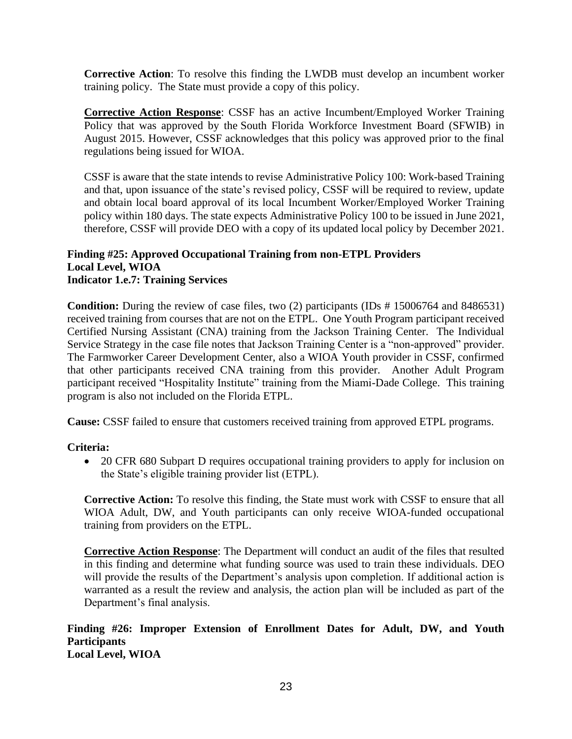**Corrective Action**: To resolve this finding the LWDB must develop an incumbent worker training policy. The State must provide a copy of this policy.

**Corrective Action Response**: CSSF has an active Incumbent/Employed Worker Training Policy that was approved by the South Florida Workforce Investment Board (SFWIB) in August 2015. However, CSSF acknowledges that this policy was approved prior to the final regulations being issued for WIOA.

CSSF is aware that the state intends to revise Administrative Policy 100: Work-based Training and that, upon issuance of the state's revised policy, CSSF will be required to review, update and obtain local board approval of its local Incumbent Worker/Employed Worker Training policy within 180 days. The state expects Administrative Policy 100 to be issued in June 2021, therefore, CSSF will provide DEO with a copy of its updated local policy by December 2021.

#### **Finding #25: Approved Occupational Training from non-ETPL Providers Local Level, WIOA Indicator 1.e.7: Training Services**

**Condition:** During the review of case files, two (2) participants (IDs # 15006764 and 8486531) received training from courses that are not on the ETPL. One Youth Program participant received Certified Nursing Assistant (CNA) training from the Jackson Training Center. The Individual Service Strategy in the case file notes that Jackson Training Center is a "non-approved" provider. The Farmworker Career Development Center, also a WIOA Youth provider in CSSF, confirmed that other participants received CNA training from this provider. Another Adult Program participant received "Hospitality Institute" training from the Miami-Dade College. This training program is also not included on the Florida ETPL.

**Cause:** CSSF failed to ensure that customers received training from approved ETPL programs.

#### **Criteria:**

• 20 CFR 680 Subpart D requires occupational training providers to apply for inclusion on the State's eligible training provider list (ETPL).

**Corrective Action:** To resolve this finding, the State must work with CSSF to ensure that all WIOA Adult, DW, and Youth participants can only receive WIOA-funded occupational training from providers on the ETPL.

**Corrective Action Response**: The Department will conduct an audit of the files that resulted in this finding and determine what funding source was used to train these individuals. DEO will provide the results of the Department's analysis upon completion. If additional action is warranted as a result the review and analysis, the action plan will be included as part of the Department's final analysis.

#### **Finding #26: Improper Extension of Enrollment Dates for Adult, DW, and Youth Participants Local Level, WIOA**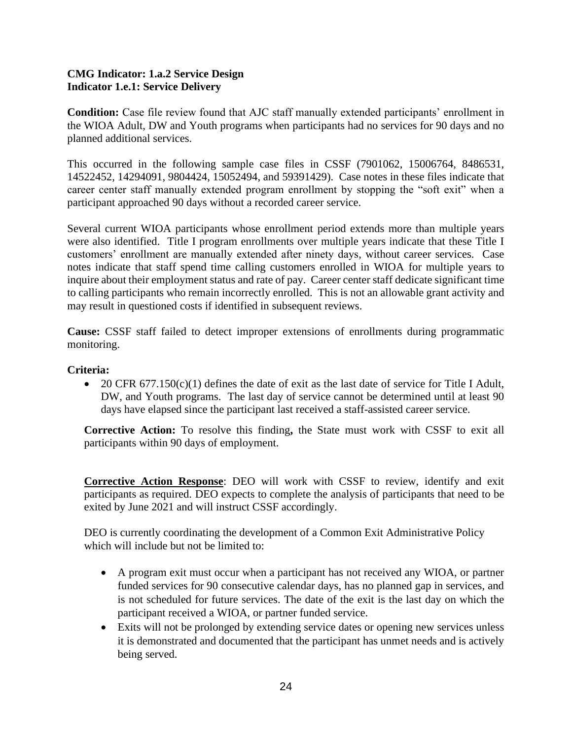### **CMG Indicator: 1.a.2 Service Design Indicator 1.e.1: Service Delivery**

**Condition:** Case file review found that AJC staff manually extended participants' enrollment in the WIOA Adult, DW and Youth programs when participants had no services for 90 days and no planned additional services.

This occurred in the following sample case files in CSSF (7901062, 15006764, 8486531, 14522452, 14294091, 9804424, 15052494, and 59391429). Case notes in these files indicate that career center staff manually extended program enrollment by stopping the "soft exit" when a participant approached 90 days without a recorded career service.

Several current WIOA participants whose enrollment period extends more than multiple years were also identified. Title I program enrollments over multiple years indicate that these Title I customers' enrollment are manually extended after ninety days, without career services. Case notes indicate that staff spend time calling customers enrolled in WIOA for multiple years to inquire about their employment status and rate of pay. Career center staff dedicate significant time to calling participants who remain incorrectly enrolled. This is not an allowable grant activity and may result in questioned costs if identified in subsequent reviews.

**Cause:** CSSF staff failed to detect improper extensions of enrollments during programmatic monitoring.

# **Criteria:**

• 20 CFR 677.150(c)(1) defines the date of exit as the last date of service for Title I Adult, DW, and Youth programs. The last day of service cannot be determined until at least 90 days have elapsed since the participant last received a staff-assisted career service.

**Corrective Action:** To resolve this finding**,** the State must work with CSSF to exit all participants within 90 days of employment.

**Corrective Action Response**: DEO will work with CSSF to review, identify and exit participants as required. DEO expects to complete the analysis of participants that need to be exited by June 2021 and will instruct CSSF accordingly.

DEO is currently coordinating the development of a Common Exit Administrative Policy which will include but not be limited to:

- A program exit must occur when a participant has not received any WIOA, or partner funded services for 90 consecutive calendar days, has no planned gap in services, and is not scheduled for future services. The date of the exit is the last day on which the participant received a WIOA, or partner funded service.
- Exits will not be prolonged by extending service dates or opening new services unless it is demonstrated and documented that the participant has unmet needs and is actively being served.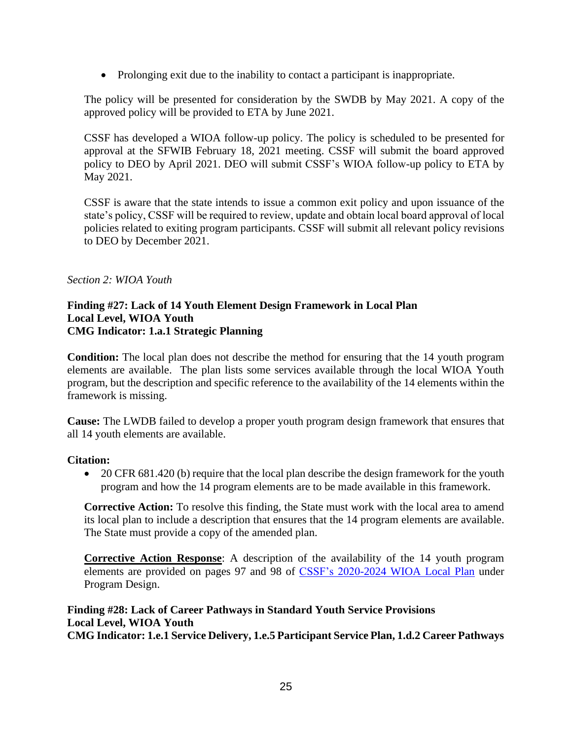• Prolonging exit due to the inability to contact a participant is inappropriate.

The policy will be presented for consideration by the SWDB by May 2021. A copy of the approved policy will be provided to ETA by June 2021.

CSSF has developed a WIOA follow-up policy. The policy is scheduled to be presented for approval at the SFWIB February 18, 2021 meeting. CSSF will submit the board approved policy to DEO by April 2021. DEO will submit CSSF's WIOA follow-up policy to ETA by May 2021.

CSSF is aware that the state intends to issue a common exit policy and upon issuance of the state's policy, CSSF will be required to review, update and obtain local board approval of local policies related to exiting program participants. CSSF will submit all relevant policy revisions to DEO by December 2021.

### *Section 2: WIOA Youth*

#### **Finding #27: Lack of 14 Youth Element Design Framework in Local Plan Local Level, WIOA Youth CMG Indicator: 1.a.1 Strategic Planning**

**Condition:** The local plan does not describe the method for ensuring that the 14 youth program elements are available. The plan lists some services available through the local WIOA Youth program, but the description and specific reference to the availability of the 14 elements within the framework is missing.

**Cause:** The LWDB failed to develop a proper youth program design framework that ensures that all 14 youth elements are available.

#### **Citation:**

• 20 CFR 681.420 (b) require that the local plan describe the design framework for the youth program and how the 14 program elements are to be made available in this framework.

**Corrective Action:** To resolve this finding, the State must work with the local area to amend its local plan to include a description that ensures that the 14 program elements are available. The State must provide a copy of the amended plan.

**Corrective Action Response**: A description of the availability of the 14 youth program elements are provided on pages 97 and 98 of [CSSF's 2020-2024 WIOA Local Plan](http://sharepoint.careersourcesfl.com/mwg-internal/de5fs23hu73ds/progress?id=_z43QNUEZOFWiNCcKq7gusRli0CBvnPBDA97K-lwqC4,) under Program Design.

### **Finding #28: Lack of Career Pathways in Standard Youth Service Provisions Local Level, WIOA Youth CMG Indicator: 1.e.1 Service Delivery, 1.e.5 Participant Service Plan, 1.d.2 Career Pathways**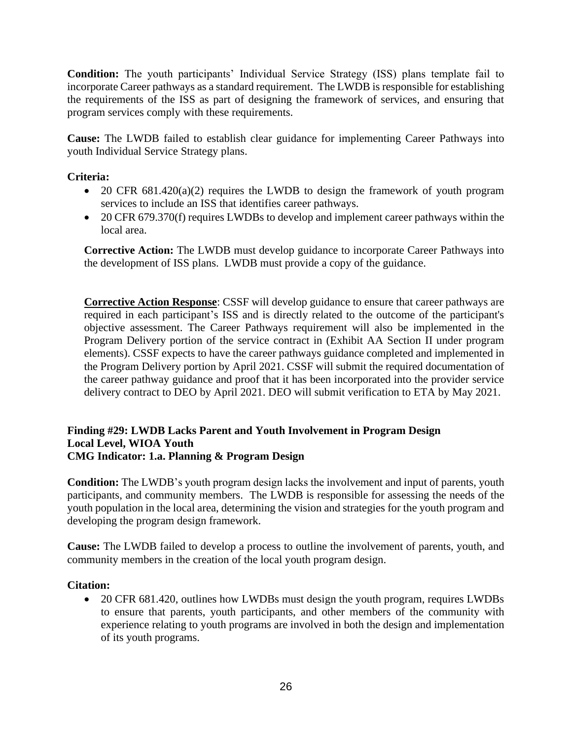**Condition:** The youth participants' Individual Service Strategy (ISS) plans template fail to incorporate Career pathways as a standard requirement. The LWDB is responsible for establishing the requirements of the ISS as part of designing the framework of services, and ensuring that program services comply with these requirements.

**Cause:** The LWDB failed to establish clear guidance for implementing Career Pathways into youth Individual Service Strategy plans.

# **Criteria:**

- 20 CFR  $681.420(a)(2)$  requires the LWDB to design the framework of youth program services to include an ISS that identifies career pathways.
- 20 CFR 679.370(f) requires LWDBs to develop and implement career pathways within the local area.

**Corrective Action:** The LWDB must develop guidance to incorporate Career Pathways into the development of ISS plans. LWDB must provide a copy of the guidance.

**Corrective Action Response**: CSSF will develop guidance to ensure that career pathways are required in each participant's ISS and is directly related to the outcome of the participant's objective assessment. The Career Pathways requirement will also be implemented in the Program Delivery portion of the service contract in (Exhibit AA Section II under program elements). CSSF expects to have the career pathways guidance completed and implemented in the Program Delivery portion by April 2021. CSSF will submit the required documentation of the career pathway guidance and proof that it has been incorporated into the provider service delivery contract to DEO by April 2021. DEO will submit verification to ETA by May 2021.

#### **Finding #29: LWDB Lacks Parent and Youth Involvement in Program Design Local Level, WIOA Youth CMG Indicator: 1.a. Planning & Program Design**

**Condition:** The LWDB's youth program design lacks the involvement and input of parents, youth participants, and community members. The LWDB is responsible for assessing the needs of the youth population in the local area, determining the vision and strategies for the youth program and developing the program design framework.

**Cause:** The LWDB failed to develop a process to outline the involvement of parents, youth, and community members in the creation of the local youth program design.

# **Citation:**

• 20 CFR 681.420, outlines how LWDBs must design the youth program, requires LWDBs to ensure that parents, youth participants, and other members of the community with experience relating to youth programs are involved in both the design and implementation of its youth programs.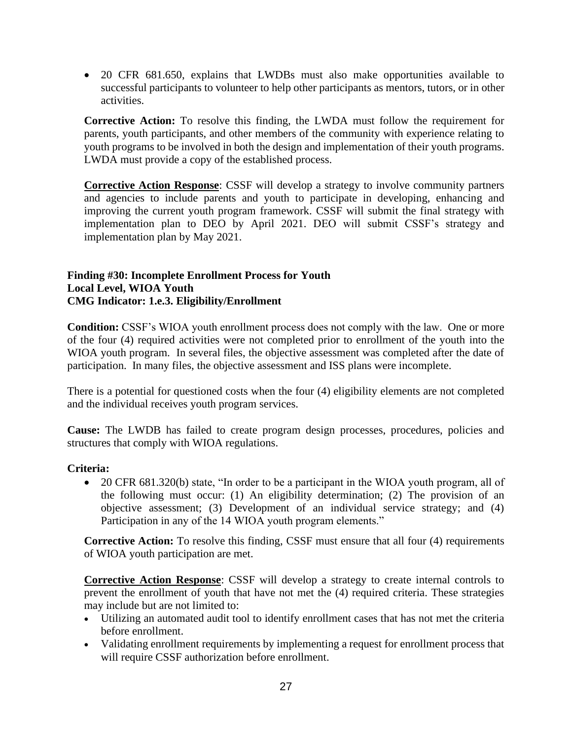• 20 CFR 681.650, explains that LWDBs must also make opportunities available to successful participants to volunteer to help other participants as mentors, tutors, or in other activities.

**Corrective Action:** To resolve this finding, the LWDA must follow the requirement for parents, youth participants, and other members of the community with experience relating to youth programs to be involved in both the design and implementation of their youth programs. LWDA must provide a copy of the established process.

**Corrective Action Response**: CSSF will develop a strategy to involve community partners and agencies to include parents and youth to participate in developing, enhancing and improving the current youth program framework. CSSF will submit the final strategy with implementation plan to DEO by April 2021. DEO will submit CSSF's strategy and implementation plan by May 2021.

### **Finding #30: Incomplete Enrollment Process for Youth Local Level, WIOA Youth CMG Indicator: 1.e.3. Eligibility/Enrollment**

**Condition:** CSSF's WIOA youth enrollment process does not comply with the law. One or more of the four (4) required activities were not completed prior to enrollment of the youth into the WIOA youth program. In several files, the objective assessment was completed after the date of participation. In many files, the objective assessment and ISS plans were incomplete.

There is a potential for questioned costs when the four (4) eligibility elements are not completed and the individual receives youth program services.

**Cause:** The LWDB has failed to create program design processes, procedures, policies and structures that comply with WIOA regulations.

# **Criteria:**

• 20 CFR 681.320(b) state, "In order to be a participant in the WIOA youth program, all of the following must occur: (1) An eligibility determination; (2) The provision of an objective assessment; (3) Development of an individual service strategy; and (4) Participation in any of the 14 WIOA youth program elements."

**Corrective Action:** To resolve this finding, CSSF must ensure that all four (4) requirements of WIOA youth participation are met.

**Corrective Action Response**: CSSF will develop a strategy to create internal controls to prevent the enrollment of youth that have not met the (4) required criteria. These strategies may include but are not limited to:

- Utilizing an automated audit tool to identify enrollment cases that has not met the criteria before enrollment.
- Validating enrollment requirements by implementing a request for enrollment process that will require CSSF authorization before enrollment.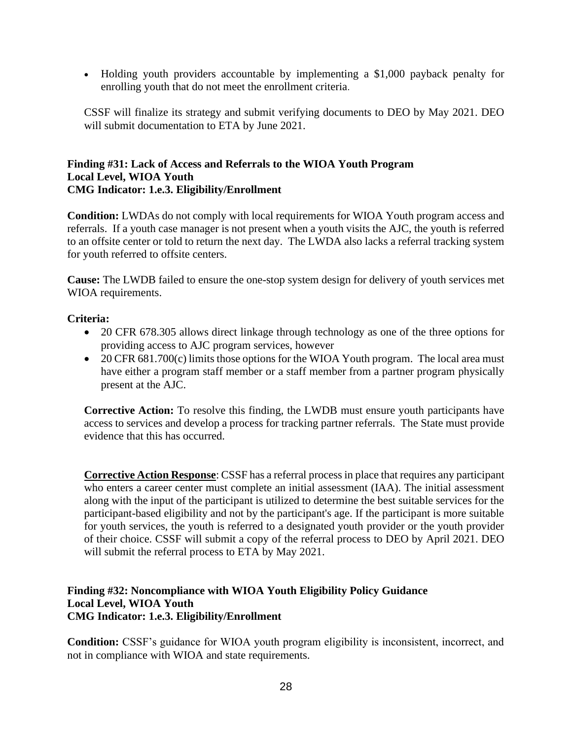• Holding youth providers accountable by implementing a \$1,000 payback penalty for enrolling youth that do not meet the enrollment criteria.

CSSF will finalize its strategy and submit verifying documents to DEO by May 2021. DEO will submit documentation to ETA by June 2021.

#### **Finding #31: Lack of Access and Referrals to the WIOA Youth Program Local Level, WIOA Youth CMG Indicator: 1.e.3. Eligibility/Enrollment**

**Condition:** LWDAs do not comply with local requirements for WIOA Youth program access and referrals. If a youth case manager is not present when a youth visits the AJC, the youth is referred to an offsite center or told to return the next day. The LWDA also lacks a referral tracking system for youth referred to offsite centers.

**Cause:** The LWDB failed to ensure the one-stop system design for delivery of youth services met WIOA requirements.

# **Criteria:**

- 20 CFR 678.305 allows direct linkage through technology as one of the three options for providing access to AJC program services, however
- 20 CFR 681.700(c) limits those options for the WIOA Youth program. The local area must have either a program staff member or a staff member from a partner program physically present at the AJC.

**Corrective Action:** To resolve this finding, the LWDB must ensure youth participants have access to services and develop a process for tracking partner referrals. The State must provide evidence that this has occurred.

**Corrective Action Response**: CSSF has a referral process in place that requires any participant who enters a career center must complete an initial assessment (IAA). The initial assessment along with the input of the participant is utilized to determine the best suitable services for the participant-based eligibility and not by the participant's age. If the participant is more suitable for youth services, the youth is referred to a designated youth provider or the youth provider of their choice. CSSF will submit a copy of the referral process to DEO by April 2021. DEO will submit the referral process to ETA by May 2021.

### **Finding #32: Noncompliance with WIOA Youth Eligibility Policy Guidance Local Level, WIOA Youth CMG Indicator: 1.e.3. Eligibility/Enrollment**

**Condition:** CSSF's guidance for WIOA youth program eligibility is inconsistent, incorrect, and not in compliance with WIOA and state requirements.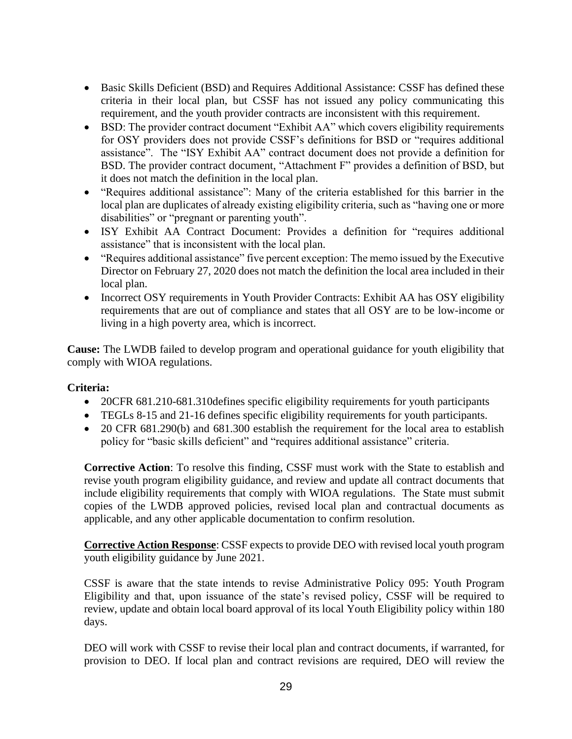- Basic Skills Deficient (BSD) and Requires Additional Assistance: CSSF has defined these criteria in their local plan, but CSSF has not issued any policy communicating this requirement, and the youth provider contracts are inconsistent with this requirement.
- BSD: The provider contract document "Exhibit AA" which covers eligibility requirements for OSY providers does not provide CSSF's definitions for BSD or "requires additional assistance". The "ISY Exhibit AA" contract document does not provide a definition for BSD. The provider contract document, "Attachment F" provides a definition of BSD, but it does not match the definition in the local plan.
- "Requires additional assistance": Many of the criteria established for this barrier in the local plan are duplicates of already existing eligibility criteria, such as "having one or more disabilities" or "pregnant or parenting youth".
- ISY Exhibit AA Contract Document: Provides a definition for "requires additional assistance" that is inconsistent with the local plan.
- "Requires additional assistance" five percent exception: The memo issued by the Executive Director on February 27, 2020 does not match the definition the local area included in their local plan.
- Incorrect OSY requirements in Youth Provider Contracts: Exhibit AA has OSY eligibility requirements that are out of compliance and states that all OSY are to be low-income or living in a high poverty area, which is incorrect.

**Cause:** The LWDB failed to develop program and operational guidance for youth eligibility that comply with WIOA regulations.

# **Criteria:**

- 20CFR 681.210-681.310 defines specific eligibility requirements for youth participants
- TEGLs 8-15 and 21-16 defines specific eligibility requirements for youth participants.
- 20 CFR 681.290(b) and 681.300 establish the requirement for the local area to establish policy for "basic skills deficient" and "requires additional assistance" criteria.

**Corrective Action**: To resolve this finding, CSSF must work with the State to establish and revise youth program eligibility guidance, and review and update all contract documents that include eligibility requirements that comply with WIOA regulations. The State must submit copies of the LWDB approved policies, revised local plan and contractual documents as applicable, and any other applicable documentation to confirm resolution.

**Corrective Action Response**: CSSF expects to provide DEO with revised local youth program youth eligibility guidance by June 2021.

CSSF is aware that the state intends to revise Administrative Policy 095: Youth Program Eligibility and that, upon issuance of the state's revised policy, CSSF will be required to review, update and obtain local board approval of its local Youth Eligibility policy within 180 days.

DEO will work with CSSF to revise their local plan and contract documents, if warranted, for provision to DEO. If local plan and contract revisions are required, DEO will review the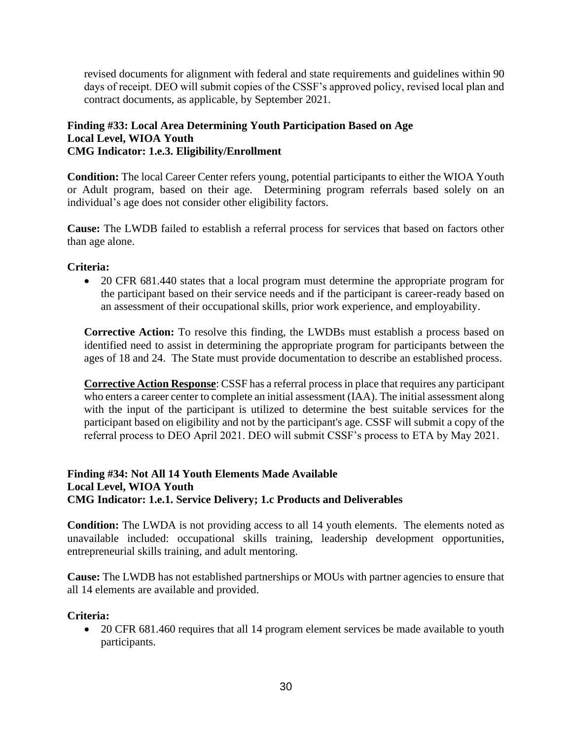revised documents for alignment with federal and state requirements and guidelines within 90 days of receipt. DEO will submit copies of the CSSF's approved policy, revised local plan and contract documents, as applicable, by September 2021.

#### **Finding #33: Local Area Determining Youth Participation Based on Age Local Level, WIOA Youth CMG Indicator: 1.e.3. Eligibility/Enrollment**

**Condition:** The local Career Center refers young, potential participants to either the WIOA Youth or Adult program, based on their age. Determining program referrals based solely on an individual's age does not consider other eligibility factors.

**Cause:** The LWDB failed to establish a referral process for services that based on factors other than age alone.

# **Criteria:**

• 20 CFR 681.440 states that a local program must determine the appropriate program for the participant based on their service needs and if the participant is career-ready based on an assessment of their occupational skills, prior work experience, and employability.

**Corrective Action:** To resolve this finding, the LWDBs must establish a process based on identified need to assist in determining the appropriate program for participants between the ages of 18 and 24. The State must provide documentation to describe an established process.

**Corrective Action Response**: CSSF has a referral process in place that requires any participant who enters a career center to complete an initial assessment (IAA). The initial assessment along with the input of the participant is utilized to determine the best suitable services for the participant based on eligibility and not by the participant's age. CSSF will submit a copy of the referral process to DEO April 2021. DEO will submit CSSF's process to ETA by May 2021.

# **Finding #34: Not All 14 Youth Elements Made Available Local Level, WIOA Youth CMG Indicator: 1.e.1. Service Delivery; 1.c Products and Deliverables**

**Condition:** The LWDA is not providing access to all 14 youth elements. The elements noted as unavailable included: occupational skills training, leadership development opportunities, entrepreneurial skills training, and adult mentoring.

**Cause:** The LWDB has not established partnerships or MOUs with partner agencies to ensure that all 14 elements are available and provided.

#### **Criteria:**

• 20 CFR 681.460 requires that all 14 program element services be made available to youth participants.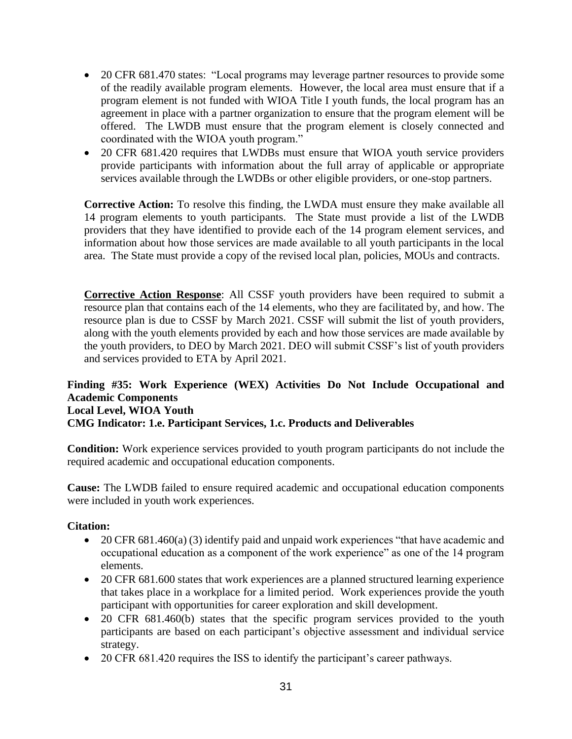- 20 CFR 681.470 states: "Local programs may leverage partner resources to provide some of the readily available program elements. However, the local area must ensure that if a program element is not funded with WIOA Title I youth funds, the local program has an agreement in place with a partner organization to ensure that the program element will be offered. The LWDB must ensure that the program element is closely connected and coordinated with the WIOA youth program."
- 20 CFR 681.420 requires that LWDBs must ensure that WIOA youth service providers provide participants with information about the full array of applicable or appropriate services available through the LWDBs or other eligible providers, or one-stop partners.

**Corrective Action:** To resolve this finding, the LWDA must ensure they make available all 14 program elements to youth participants. The State must provide a list of the LWDB providers that they have identified to provide each of the 14 program element services, and information about how those services are made available to all youth participants in the local area. The State must provide a copy of the revised local plan, policies, MOUs and contracts.

**Corrective Action Response**: All CSSF youth providers have been required to submit a resource plan that contains each of the 14 elements, who they are facilitated by, and how. The resource plan is due to CSSF by March 2021. CSSF will submit the list of youth providers, along with the youth elements provided by each and how those services are made available by the youth providers, to DEO by March 2021. DEO will submit CSSF's list of youth providers and services provided to ETA by April 2021.

### **Finding #35: Work Experience (WEX) Activities Do Not Include Occupational and Academic Components Local Level, WIOA Youth CMG Indicator: 1.e. Participant Services, 1.c. Products and Deliverables**

**Condition:** Work experience services provided to youth program participants do not include the required academic and occupational education components.

**Cause:** The LWDB failed to ensure required academic and occupational education components were included in youth work experiences.

# **Citation:**

- 20 CFR 681.460(a) (3) identify paid and unpaid work experiences "that have academic and occupational education as a component of the work experience" as one of the 14 program elements.
- 20 CFR 681.600 states that work experiences are a planned structured learning experience that takes place in a workplace for a limited period. Work experiences provide the youth participant with opportunities for career exploration and skill development.
- 20 CFR 681.460(b) states that the specific program services provided to the youth participants are based on each participant's objective assessment and individual service strategy.
- 20 CFR 681.420 requires the ISS to identify the participant's career pathways.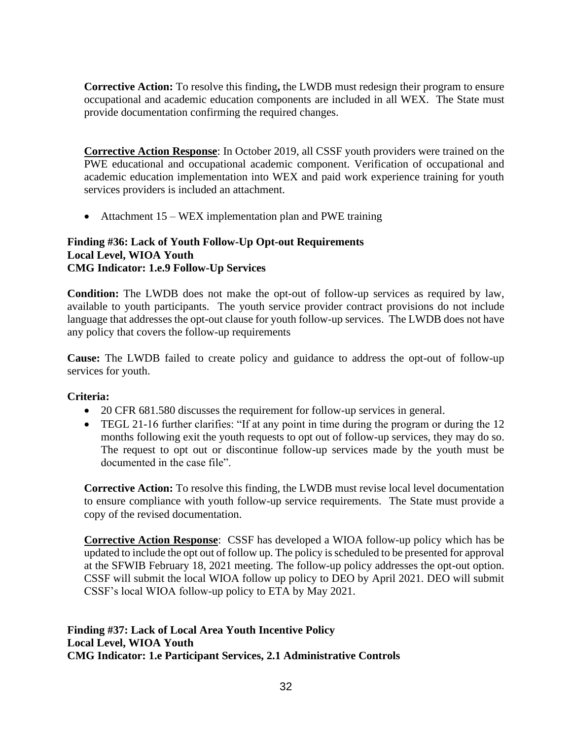**Corrective Action:** To resolve this finding**,** the LWDB must redesign their program to ensure occupational and academic education components are included in all WEX. The State must provide documentation confirming the required changes.

**Corrective Action Response**: In October 2019, all CSSF youth providers were trained on the PWE educational and occupational academic component. Verification of occupational and academic education implementation into WEX and paid work experience training for youth services providers is included an attachment.

• Attachment 15 – WEX implementation plan and PWE training

#### **Finding #36: Lack of Youth Follow-Up Opt-out Requirements Local Level, WIOA Youth CMG Indicator: 1.e.9 Follow-Up Services**

**Condition:** The LWDB does not make the opt-out of follow-up services as required by law, available to youth participants. The youth service provider contract provisions do not include language that addresses the opt-out clause for youth follow-up services. The LWDB does not have any policy that covers the follow-up requirements

**Cause:** The LWDB failed to create policy and guidance to address the opt-out of follow-up services for youth.

# **Criteria:**

- 20 CFR 681.580 discusses the requirement for follow-up services in general.
- TEGL 21-16 further clarifies: "If at any point in time during the program or during the 12 months following exit the youth requests to opt out of follow-up services, they may do so. The request to opt out or discontinue follow-up services made by the youth must be documented in the case file".

**Corrective Action:** To resolve this finding, the LWDB must revise local level documentation to ensure compliance with youth follow-up service requirements. The State must provide a copy of the revised documentation.

**Corrective Action Response**: CSSF has developed a WIOA follow-up policy which has be updated to include the opt out of follow up. The policy is scheduled to be presented for approval at the SFWIB February 18, 2021 meeting. The follow-up policy addresses the opt-out option. CSSF will submit the local WIOA follow up policy to DEO by April 2021. DEO will submit CSSF's local WIOA follow-up policy to ETA by May 2021.

#### **Finding #37: Lack of Local Area Youth Incentive Policy Local Level, WIOA Youth CMG Indicator: 1.e Participant Services, 2.1 Administrative Controls**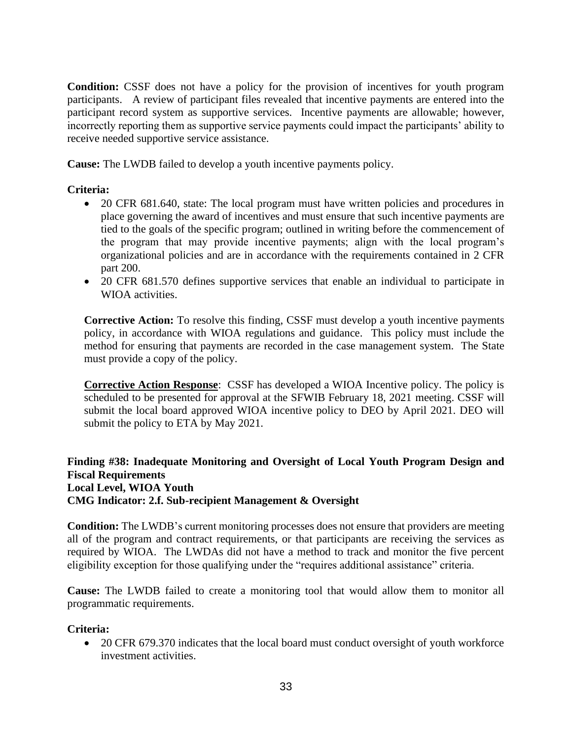**Condition:** CSSF does not have a policy for the provision of incentives for youth program participants. A review of participant files revealed that incentive payments are entered into the participant record system as supportive services. Incentive payments are allowable; however, incorrectly reporting them as supportive service payments could impact the participants' ability to receive needed supportive service assistance.

**Cause:** The LWDB failed to develop a youth incentive payments policy.

### **Criteria:**

- 20 CFR 681.640, state: The local program must have written policies and procedures in place governing the award of incentives and must ensure that such incentive payments are tied to the goals of the specific program; outlined in writing before the commencement of the program that may provide incentive payments; align with the local program's organizational policies and are in accordance with the requirements contained in 2 CFR part 200.
- 20 CFR 681.570 defines supportive services that enable an individual to participate in WIOA activities.

**Corrective Action:** To resolve this finding, CSSF must develop a youth incentive payments policy, in accordance with WIOA regulations and guidance. This policy must include the method for ensuring that payments are recorded in the case management system. The State must provide a copy of the policy.

**Corrective Action Response**: CSSF has developed a WIOA Incentive policy. The policy is scheduled to be presented for approval at the SFWIB February 18, 2021 meeting. CSSF will submit the local board approved WIOA incentive policy to DEO by April 2021. DEO will submit the policy to ETA by May 2021.

**Finding #38: Inadequate Monitoring and Oversight of Local Youth Program Design and Fiscal Requirements Local Level, WIOA Youth CMG Indicator: 2.f. Sub-recipient Management & Oversight**

**Condition:** The LWDB's current monitoring processes does not ensure that providers are meeting all of the program and contract requirements, or that participants are receiving the services as required by WIOA. The LWDAs did not have a method to track and monitor the five percent eligibility exception for those qualifying under the "requires additional assistance" criteria.

**Cause:** The LWDB failed to create a monitoring tool that would allow them to monitor all programmatic requirements.

#### **Criteria:**

• 20 CFR 679.370 indicates that the local board must conduct oversight of youth workforce investment activities.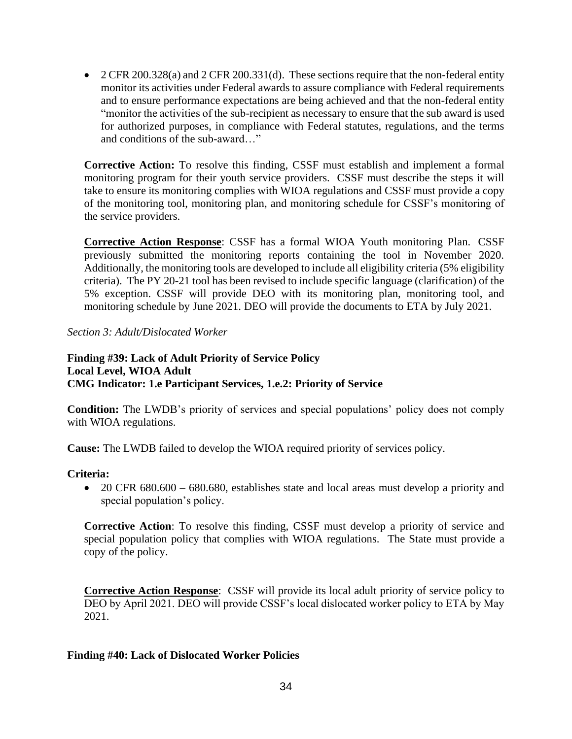• 2 CFR 200.328(a) and 2 CFR 200.331(d). These sections require that the non-federal entity monitor its activities under Federal awards to assure compliance with Federal requirements and to ensure performance expectations are being achieved and that the non-federal entity "monitor the activities of the sub-recipient as necessary to ensure that the sub award is used for authorized purposes, in compliance with Federal statutes, regulations, and the terms and conditions of the sub-award…"

**Corrective Action:** To resolve this finding, CSSF must establish and implement a formal monitoring program for their youth service providers. CSSF must describe the steps it will take to ensure its monitoring complies with WIOA regulations and CSSF must provide a copy of the monitoring tool, monitoring plan, and monitoring schedule for CSSF's monitoring of the service providers.

**Corrective Action Response**: CSSF has a formal WIOA Youth monitoring Plan. CSSF previously submitted the monitoring reports containing the tool in November 2020. Additionally, the monitoring tools are developed to include all eligibility criteria (5% eligibility criteria). The PY 20-21 tool has been revised to include specific language (clarification) of the 5% exception. CSSF will provide DEO with its monitoring plan, monitoring tool, and monitoring schedule by June 2021. DEO will provide the documents to ETA by July 2021.

*Section 3: Adult/Dislocated Worker*

### **Finding #39: Lack of Adult Priority of Service Policy Local Level, WIOA Adult CMG Indicator: 1.e Participant Services, 1.e.2: Priority of Service**

**Condition:** The LWDB's priority of services and special populations' policy does not comply with WIOA regulations.

**Cause:** The LWDB failed to develop the WIOA required priority of services policy.

# **Criteria:**

• 20 CFR 680.600 – 680.680, establishes state and local areas must develop a priority and special population's policy.

**Corrective Action**: To resolve this finding, CSSF must develop a priority of service and special population policy that complies with WIOA regulations. The State must provide a copy of the policy.

**Corrective Action Response**: CSSF will provide its local adult priority of service policy to DEO by April 2021. DEO will provide CSSF's local dislocated worker policy to ETA by May 2021.

# **Finding #40: Lack of Dislocated Worker Policies**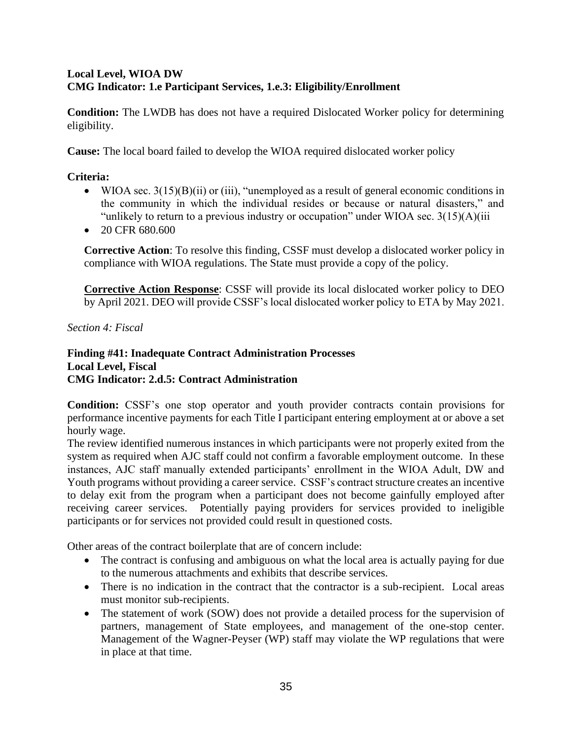# **Local Level, WIOA DW CMG Indicator: 1.e Participant Services, 1.e.3: Eligibility/Enrollment**

**Condition:** The LWDB has does not have a required Dislocated Worker policy for determining eligibility.

**Cause:** The local board failed to develop the WIOA required dislocated worker policy

# **Criteria:**

- WIOA sec.  $3(15)(B)(ii)$  or (iii), "unemployed as a result of general economic conditions in the community in which the individual resides or because or natural disasters," and "unlikely to return to a previous industry or occupation" under WIOA sec.  $3(15)(A)(iii)$
- 20 CFR 680.600

**Corrective Action**: To resolve this finding, CSSF must develop a dislocated worker policy in compliance with WIOA regulations. The State must provide a copy of the policy.

**Corrective Action Response**: CSSF will provide its local dislocated worker policy to DEO by April 2021. DEO will provide CSSF's local dislocated worker policy to ETA by May 2021.

# *Section 4: Fiscal*

### **Finding #41: Inadequate Contract Administration Processes Local Level, Fiscal CMG Indicator: 2.d.5: Contract Administration**

**Condition:** CSSF's one stop operator and youth provider contracts contain provisions for performance incentive payments for each Title I participant entering employment at or above a set hourly wage.

The review identified numerous instances in which participants were not properly exited from the system as required when AJC staff could not confirm a favorable employment outcome. In these instances, AJC staff manually extended participants' enrollment in the WIOA Adult, DW and Youth programs without providing a career service. CSSF's contract structure creates an incentive to delay exit from the program when a participant does not become gainfully employed after receiving career services. Potentially paying providers for services provided to ineligible participants or for services not provided could result in questioned costs.

Other areas of the contract boilerplate that are of concern include:

- The contract is confusing and ambiguous on what the local area is actually paying for due to the numerous attachments and exhibits that describe services.
- There is no indication in the contract that the contractor is a sub-recipient. Local areas must monitor sub-recipients.
- The statement of work (SOW) does not provide a detailed process for the supervision of partners, management of State employees, and management of the one-stop center. Management of the Wagner-Peyser (WP) staff may violate the WP regulations that were in place at that time.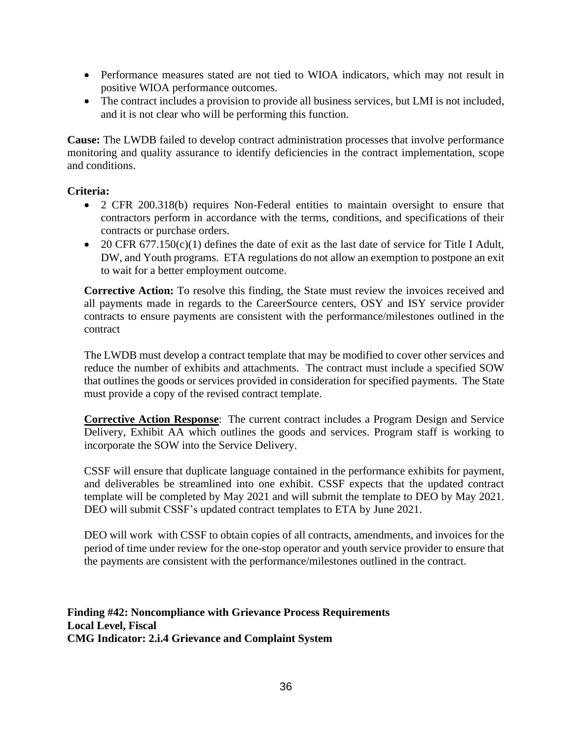- Performance measures stated are not tied to WIOA indicators, which may not result in positive WIOA performance outcomes.
- The contract includes a provision to provide all business services, but LMI is not included, and it is not clear who will be performing this function.

**Cause:** The LWDB failed to develop contract administration processes that involve performance monitoring and quality assurance to identify deficiencies in the contract implementation, scope and conditions.

### **Criteria:**

- 2 CFR 200.318(b) requires Non-Federal entities to maintain oversight to ensure that contractors perform in accordance with the terms, conditions, and specifications of their contracts or purchase orders.
- 20 CFR 677.150(c)(1) defines the date of exit as the last date of service for Title I Adult, DW, and Youth programs. ETA regulations do not allow an exemption to postpone an exit to wait for a better employment outcome.

**Corrective Action:** To resolve this finding, the State must review the invoices received and all payments made in regards to the CareerSource centers, OSY and ISY service provider contracts to ensure payments are consistent with the performance/milestones outlined in the contract

The LWDB must develop a contract template that may be modified to cover other services and reduce the number of exhibits and attachments. The contract must include a specified SOW that outlines the goods or services provided in consideration for specified payments. The State must provide a copy of the revised contract template.

**Corrective Action Response**: The current contract includes a Program Design and Service Delivery, Exhibit AA which outlines the goods and services. Program staff is working to incorporate the SOW into the Service Delivery.

CSSF will ensure that duplicate language contained in the performance exhibits for payment, and deliverables be streamlined into one exhibit. CSSF expects that the updated contract template will be completed by May 2021 and will submit the template to DEO by May 2021. DEO will submit CSSF's updated contract templates to ETA by June 2021.

DEO will work with CSSF to obtain copies of all contracts, amendments, and invoices for the period of time under review for the one-stop operator and youth service provider to ensure that the payments are consistent with the performance/milestones outlined in the contract.

**Finding #42: Noncompliance with Grievance Process Requirements Local Level, Fiscal CMG Indicator: 2.i.4 Grievance and Complaint System**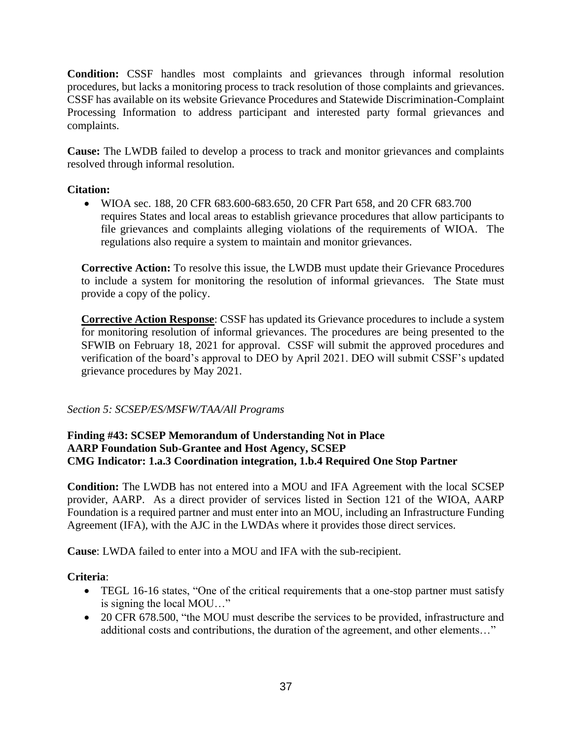**Condition:** CSSF handles most complaints and grievances through informal resolution procedures, but lacks a monitoring process to track resolution of those complaints and grievances. CSSF has available on its website Grievance Procedures and Statewide Discrimination-Complaint Processing Information to address participant and interested party formal grievances and complaints.

**Cause:** The LWDB failed to develop a process to track and monitor grievances and complaints resolved through informal resolution.

### **Citation:**

• WIOA sec. 188, 20 CFR 683.600-683.650, 20 CFR Part 658, and 20 CFR 683.700 requires States and local areas to establish grievance procedures that allow participants to file grievances and complaints alleging violations of the requirements of WIOA. The regulations also require a system to maintain and monitor grievances.

**Corrective Action:** To resolve this issue, the LWDB must update their Grievance Procedures to include a system for monitoring the resolution of informal grievances. The State must provide a copy of the policy.

**Corrective Action Response**: CSSF has updated its Grievance procedures to include a system for monitoring resolution of informal grievances. The procedures are being presented to the SFWIB on February 18, 2021 for approval. CSSF will submit the approved procedures and verification of the board's approval to DEO by April 2021. DEO will submit CSSF's updated grievance procedures by May 2021.

# *Section 5: SCSEP/ES/MSFW/TAA/All Programs*

# **Finding #43: SCSEP Memorandum of Understanding Not in Place AARP Foundation Sub-Grantee and Host Agency, SCSEP CMG Indicator: 1.a.3 Coordination integration, 1.b.4 Required One Stop Partner**

**Condition:** The LWDB has not entered into a MOU and IFA Agreement with the local SCSEP provider, AARP. As a direct provider of services listed in Section 121 of the WIOA, AARP Foundation is a required partner and must enter into an MOU, including an Infrastructure Funding Agreement (IFA), with the AJC in the LWDAs where it provides those direct services.

**Cause**: LWDA failed to enter into a MOU and IFA with the sub-recipient.

# **Criteria**:

- TEGL 16-16 states, "One of the critical requirements that a one-stop partner must satisfy is signing the local MOU…"
- 20 CFR 678.500, "the MOU must describe the services to be provided, infrastructure and additional costs and contributions, the duration of the agreement, and other elements…"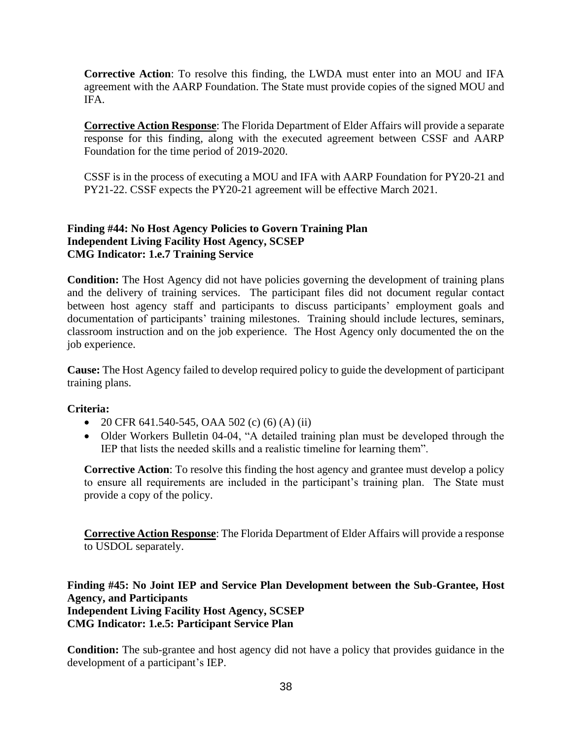**Corrective Action**: To resolve this finding, the LWDA must enter into an MOU and IFA agreement with the AARP Foundation. The State must provide copies of the signed MOU and IFA.

**Corrective Action Response**: The Florida Department of Elder Affairs will provide a separate response for this finding, along with the executed agreement between CSSF and AARP Foundation for the time period of 2019-2020.

CSSF is in the process of executing a MOU and IFA with AARP Foundation for PY20-21 and PY21-22. CSSF expects the PY20-21 agreement will be effective March 2021.

# **Finding #44: No Host Agency Policies to Govern Training Plan Independent Living Facility Host Agency, SCSEP CMG Indicator: 1.e.7 Training Service**

**Condition:** The Host Agency did not have policies governing the development of training plans and the delivery of training services. The participant files did not document regular contact between host agency staff and participants to discuss participants' employment goals and documentation of participants' training milestones. Training should include lectures, seminars, classroom instruction and on the job experience. The Host Agency only documented the on the job experience.

**Cause:** The Host Agency failed to develop required policy to guide the development of participant training plans.

# **Criteria:**

- 20 CFR 641.540-545, OAA 502 (c) (6) (A) (ii)
- Older Workers Bulletin 04-04, "A detailed training plan must be developed through the IEP that lists the needed skills and a realistic timeline for learning them".

**Corrective Action**: To resolve this finding the host agency and grantee must develop a policy to ensure all requirements are included in the participant's training plan. The State must provide a copy of the policy.

**Corrective Action Response**: The Florida Department of Elder Affairs will provide a response to USDOL separately.

**Finding #45: No Joint IEP and Service Plan Development between the Sub-Grantee, Host Agency, and Participants Independent Living Facility Host Agency, SCSEP CMG Indicator: 1.e.5: Participant Service Plan**

**Condition:** The sub-grantee and host agency did not have a policy that provides guidance in the development of a participant's IEP.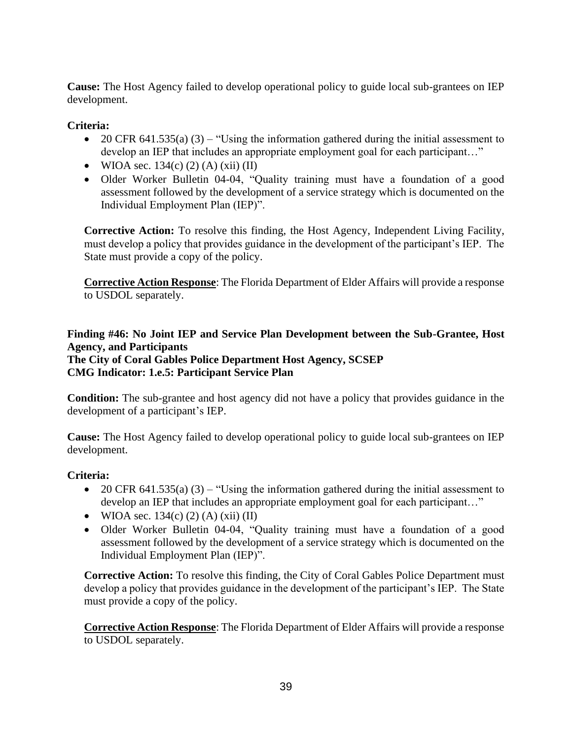**Cause:** The Host Agency failed to develop operational policy to guide local sub-grantees on IEP development.

# **Criteria:**

- 20 CFR 641.535(a) (3) "Using the information gathered during the initial assessment to develop an IEP that includes an appropriate employment goal for each participant…"
- WIOA sec.  $134(c) (2) (A) (xii) (II)$
- Older Worker Bulletin 04-04, "Quality training must have a foundation of a good assessment followed by the development of a service strategy which is documented on the Individual Employment Plan (IEP)".

**Corrective Action:** To resolve this finding, the Host Agency, Independent Living Facility, must develop a policy that provides guidance in the development of the participant's IEP. The State must provide a copy of the policy.

**Corrective Action Response**: The Florida Department of Elder Affairs will provide a response to USDOL separately.

# **Finding #46: No Joint IEP and Service Plan Development between the Sub-Grantee, Host Agency, and Participants The City of Coral Gables Police Department Host Agency, SCSEP CMG Indicator: 1.e.5: Participant Service Plan**

**Condition:** The sub-grantee and host agency did not have a policy that provides guidance in the development of a participant's IEP.

**Cause:** The Host Agency failed to develop operational policy to guide local sub-grantees on IEP development.

# **Criteria:**

- 20 CFR 641.535(a) (3) "Using the information gathered during the initial assessment to develop an IEP that includes an appropriate employment goal for each participant…"
- WIOA sec.  $134(c)$  (2) (A) (xii) (II)
- Older Worker Bulletin 04-04, "Quality training must have a foundation of a good assessment followed by the development of a service strategy which is documented on the Individual Employment Plan (IEP)".

**Corrective Action:** To resolve this finding, the City of Coral Gables Police Department must develop a policy that provides guidance in the development of the participant's IEP. The State must provide a copy of the policy.

**Corrective Action Response**: The Florida Department of Elder Affairs will provide a response to USDOL separately.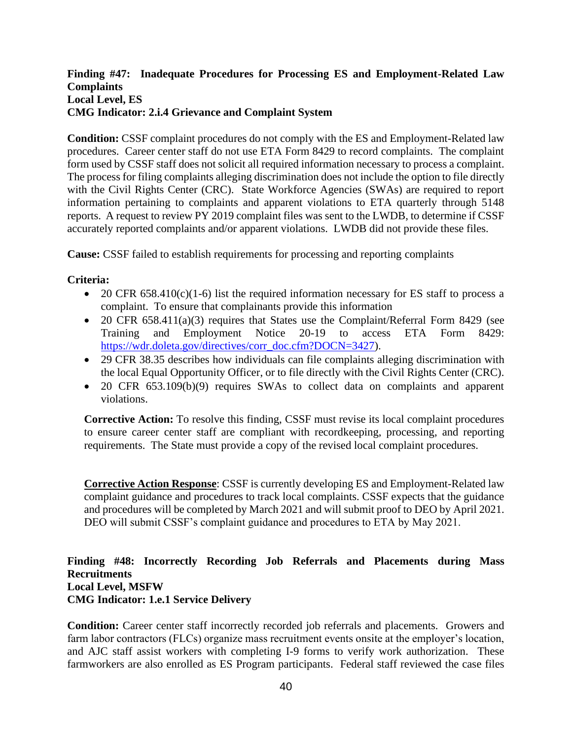### **Finding #47: Inadequate Procedures for Processing ES and Employment-Related Law Complaints Local Level, ES CMG Indicator: 2.i.4 Grievance and Complaint System**

**Condition:** CSSF complaint procedures do not comply with the ES and Employment-Related law procedures. Career center staff do not use ETA Form 8429 to record complaints. The complaint form used by CSSF staff does not solicit all required information necessary to process a complaint. The process for filing complaints alleging discrimination does not include the option to file directly with the Civil Rights Center (CRC). State Workforce Agencies (SWAs) are required to report information pertaining to complaints and apparent violations to ETA quarterly through 5148 reports. A request to review PY 2019 complaint files was sent to the LWDB, to determine if CSSF accurately reported complaints and/or apparent violations. LWDB did not provide these files.

**Cause:** CSSF failed to establish requirements for processing and reporting complaints

### **Criteria:**

- 20 CFR 658.410(c)(1-6) list the required information necessary for ES staff to process a complaint. To ensure that complainants provide this information
- 20 CFR 658.411(a)(3) requires that States use the Complaint/Referral Form 8429 (see Training and Employment Notice 20-19 to access ETA Form 8429: [https://wdr.doleta.gov/directives/corr\\_doc.cfm?DOCN=3427\)](https://wdr.doleta.gov/directives/corr_doc.cfm?DOCN=3427).
- 29 CFR 38.35 describes how individuals can file complaints alleging discrimination with the local Equal Opportunity Officer, or to file directly with the Civil Rights Center (CRC).
- 20 CFR 653.109(b)(9) requires SWAs to collect data on complaints and apparent violations.

**Corrective Action:** To resolve this finding, CSSF must revise its local complaint procedures to ensure career center staff are compliant with recordkeeping, processing, and reporting requirements. The State must provide a copy of the revised local complaint procedures.

**Corrective Action Response**: CSSF is currently developing ES and Employment-Related law complaint guidance and procedures to track local complaints. CSSF expects that the guidance and procedures will be completed by March 2021 and will submit proof to DEO by April 2021. DEO will submit CSSF's complaint guidance and procedures to ETA by May 2021.

#### **Finding #48: Incorrectly Recording Job Referrals and Placements during Mass Recruitments Local Level, MSFW CMG Indicator: 1.e.1 Service Delivery**

**Condition:** Career center staff incorrectly recorded job referrals and placements. Growers and farm labor contractors (FLCs) organize mass recruitment events onsite at the employer's location, and AJC staff assist workers with completing I-9 forms to verify work authorization. These farmworkers are also enrolled as ES Program participants. Federal staff reviewed the case files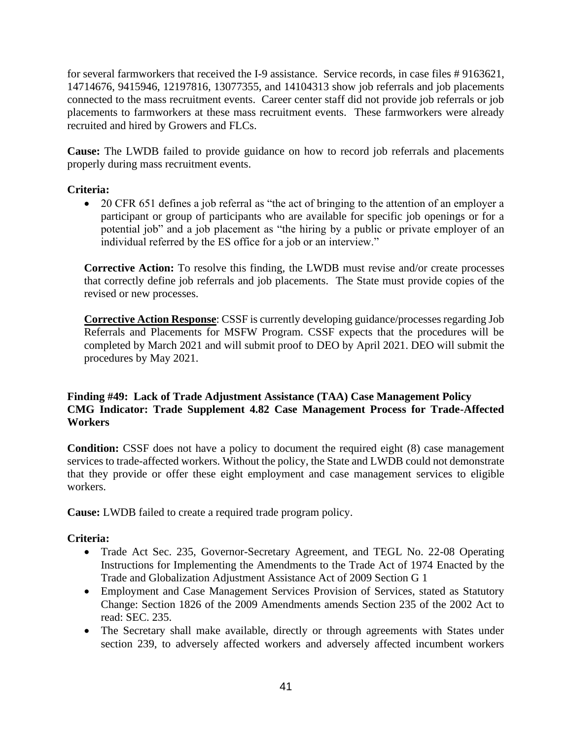for several farmworkers that received the I-9 assistance. Service records, in case files # 9163621, 14714676, 9415946, 12197816, 13077355, and 14104313 show job referrals and job placements connected to the mass recruitment events. Career center staff did not provide job referrals or job placements to farmworkers at these mass recruitment events. These farmworkers were already recruited and hired by Growers and FLCs.

**Cause:** The LWDB failed to provide guidance on how to record job referrals and placements properly during mass recruitment events.

# **Criteria:**

• 20 CFR 651 defines a job referral as "the act of bringing to the attention of an employer a participant or group of participants who are available for specific job openings or for a potential job" and a job placement as "the hiring by a public or private employer of an individual referred by the ES office for a job or an interview."

**Corrective Action:** To resolve this finding, the LWDB must revise and/or create processes that correctly define job referrals and job placements. The State must provide copies of the revised or new processes.

**Corrective Action Response**: CSSF is currently developing guidance/processes regarding Job Referrals and Placements for MSFW Program. CSSF expects that the procedures will be completed by March 2021 and will submit proof to DEO by April 2021. DEO will submit the procedures by May 2021.

# **Finding #49: Lack of Trade Adjustment Assistance (TAA) Case Management Policy CMG Indicator: Trade Supplement 4.82 Case Management Process for Trade-Affected Workers**

**Condition:** CSSF does not have a policy to document the required eight (8) case management services to trade-affected workers. Without the policy, the State and LWDB could not demonstrate that they provide or offer these eight employment and case management services to eligible workers.

**Cause:** LWDB failed to create a required trade program policy.

# **Criteria:**

- Trade Act Sec. 235, Governor-Secretary Agreement, and TEGL No. 22-08 Operating Instructions for Implementing the Amendments to the Trade Act of 1974 Enacted by the Trade and Globalization Adjustment Assistance Act of 2009 Section G 1
- Employment and Case Management Services Provision of Services, stated as Statutory Change: Section 1826 of the 2009 Amendments amends Section 235 of the 2002 Act to read: SEC. 235.
- The Secretary shall make available, directly or through agreements with States under section 239, to adversely affected workers and adversely affected incumbent workers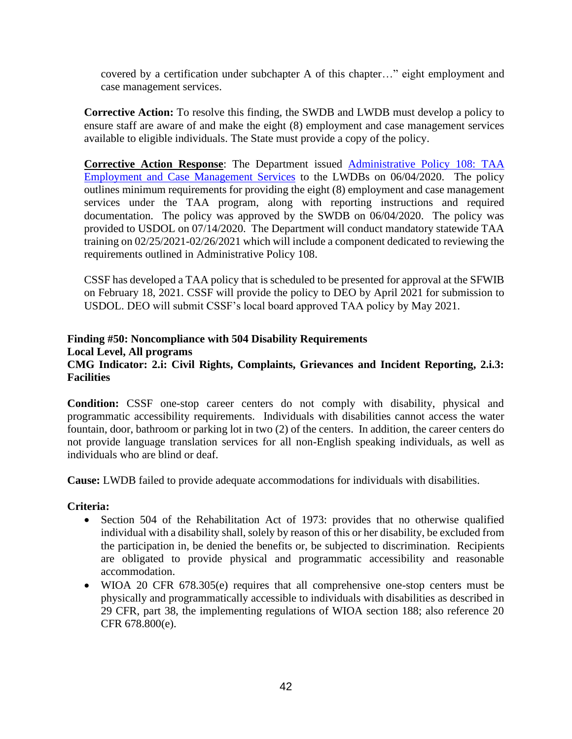covered by a certification under subchapter A of this chapter…" eight employment and case management services.

**Corrective Action:** To resolve this finding, the SWDB and LWDB must develop a policy to ensure staff are aware of and make the eight (8) employment and case management services available to eligible individuals. The State must provide a copy of the policy.

**Corrective Action Response**: The Department issued [Administrative Policy 108: TAA](http://www.floridajobs.org/docs/default-source/lwdb-resources/policy-and-guidance/guidance-papers/2020-guidance-papers/adminpolicy108_taa-employment-andcasemgmtsvcs---final.pdf?sfvrsn=634a49b0_2)  [Employment and Case Management Services](http://www.floridajobs.org/docs/default-source/lwdb-resources/policy-and-guidance/guidance-papers/2020-guidance-papers/adminpolicy108_taa-employment-andcasemgmtsvcs---final.pdf?sfvrsn=634a49b0_2) to the LWDBs on 06/04/2020. The policy outlines minimum requirements for providing the eight (8) employment and case management services under the TAA program, along with reporting instructions and required documentation. The policy was approved by the SWDB on 06/04/2020. The policy was provided to USDOL on 07/14/2020. The Department will conduct mandatory statewide TAA training on 02/25/2021-02/26/2021 which will include a component dedicated to reviewing the requirements outlined in Administrative Policy 108.

CSSF has developed a TAA policy that is scheduled to be presented for approval at the SFWIB on February 18, 2021. CSSF will provide the policy to DEO by April 2021 for submission to USDOL. DEO will submit CSSF's local board approved TAA policy by May 2021.

#### **Finding #50: Noncompliance with 504 Disability Requirements Local Level, All programs CMG Indicator: 2.i: Civil Rights, Complaints, Grievances and Incident Reporting, 2.i.3: Facilities**

**Condition:** CSSF one-stop career centers do not comply with disability, physical and programmatic accessibility requirements. Individuals with disabilities cannot access the water fountain, door, bathroom or parking lot in two (2) of the centers. In addition, the career centers do not provide language translation services for all non-English speaking individuals, as well as individuals who are blind or deaf.

**Cause:** LWDB failed to provide adequate accommodations for individuals with disabilities.

# **Criteria:**

- Section 504 of the Rehabilitation Act of 1973: provides that no otherwise qualified individual with a disability shall, solely by reason of this or her disability, be excluded from the participation in, be denied the benefits or, be subjected to discrimination. Recipients are obligated to provide physical and programmatic accessibility and reasonable accommodation.
- WIOA 20 CFR 678.305(e) requires that all comprehensive one-stop centers must be physically and programmatically accessible to individuals with disabilities as described in 29 CFR, part 38, the implementing regulations of WIOA section 188; also reference 20 CFR 678.800(e).